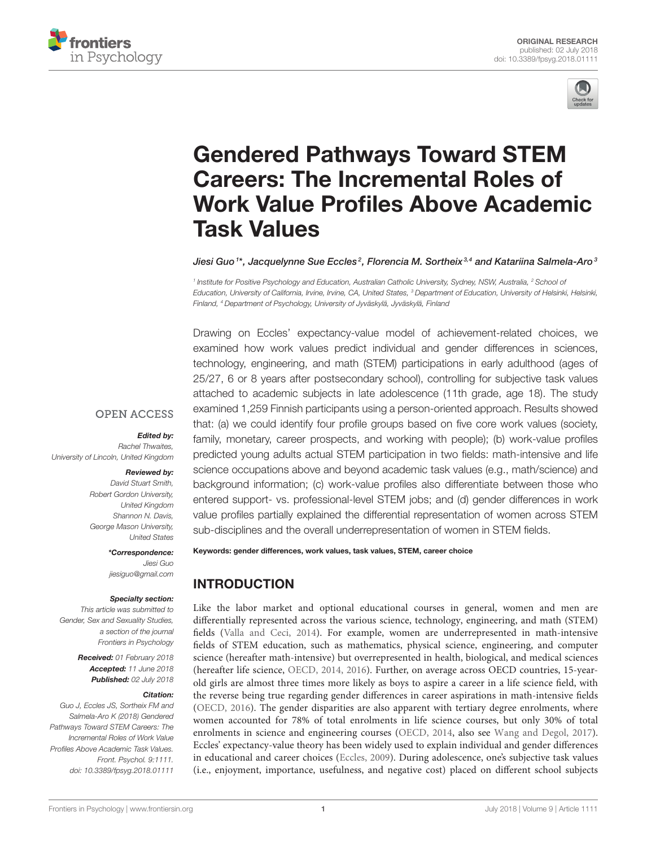



# Gendered Pathways Toward STEM Careers: The Incremental Roles of [Work Value Profiles Above Academic](https://www.frontiersin.org/articles/10.3389/fpsyg.2018.01111/full) Task Values

[Jiesi Guo](http://loop.frontiersin.org/people/523680/overview)  $^{\rm 1*}$ , Jacquelynne Sue Eccles $^2$ , [Florencia M. Sortheix](http://loop.frontiersin.org/people/536325/overview) $^{\rm 3,4}$  and [Katariina Salmela-Aro](http://loop.frontiersin.org/people/21201/overview) $^{\rm 3}$ 

<sup>1</sup> Institute for Positive Psychology and Education, Australian Catholic University, Sydney, NSW, Australia, <sup>2</sup> School oi Education, University of California, Irvine, Irvine, CA, United States, <sup>3</sup> Department of Education, University of Helsinki, Helsinki, Finland, <sup>4</sup> Department of Psychology, University of Jyväskylä, Jyväskylä, Finland

Drawing on Eccles' expectancy-value model of achievement-related choices, we examined how work values predict individual and gender differences in sciences, technology, engineering, and math (STEM) participations in early adulthood (ages of 25/27, 6 or 8 years after postsecondary school), controlling for subjective task values attached to academic subjects in late adolescence (11th grade, age 18). The study examined 1,259 Finnish participants using a person-oriented approach. Results showed that: (a) we could identify four profile groups based on five core work values (society, family, monetary, career prospects, and working with people); (b) work-value profiles predicted young adults actual STEM participation in two fields: math-intensive and life science occupations above and beyond academic task values (e.g., math/science) and background information; (c) work-value profiles also differentiate between those who entered support- vs. professional-level STEM jobs; and (d) gender differences in work value profiles partially explained the differential representation of women across STEM sub-disciplines and the overall underrepresentation of women in STEM fields.

## **OPEN ACCESS**

### Edited by:

Rachel Thwaites, University of Lincoln, United Kingdom

### Reviewed by:

David Stuart Smith, Robert Gordon University, United Kingdom Shannon N. Davis, George Mason University, United States

> \*Correspondence: Jiesi Guo [jiesiguo@gmail.com](mailto:jiesiguo@gmail.com)

### Specialty section:

This article was submitted to Gender, Sex and Sexuality Studies, a section of the journal Frontiers in Psychology

> Received: 01 February 2018 Accepted: 11 June 2018 Published: 02 July 2018

#### Citation:

Guo J, Eccles JS, Sortheix FM and Salmela-Aro K (2018) Gendered Pathways Toward STEM Careers: The Incremental Roles of Work Value Profiles Above Academic Task Values. Front. Psychol. 9:1111. doi: [10.3389/fpsyg.2018.01111](https://doi.org/10.3389/fpsyg.2018.01111) Keywords: gender differences, work values, task values, STEM, career choice

## INTRODUCTION

Like the labor market and optional educational courses in general, women and men are differentially represented across the various science, technology, engineering, and math (STEM) fields [\(Valla and Ceci, 2014\)](#page-14-0). For example, women are underrepresented in math-intensive fields of STEM education, such as mathematics, physical science, engineering, and computer science (hereafter math-intensive) but overrepresented in health, biological, and medical sciences (hereafter life science, [OECD, 2014,](#page-14-1) [2016\)](#page-14-2). Further, on average across OECD countries, 15-yearold girls are almost three times more likely as boys to aspire a career in a life science field, with the reverse being true regarding gender differences in career aspirations in math-intensive fields [\(OECD, 2016\)](#page-14-2). The gender disparities are also apparent with tertiary degree enrolments, where women accounted for 78% of total enrolments in life science courses, but only 30% of total enrolments in science and engineering courses [\(OECD, 2014,](#page-14-1) also see [Wang and Degol, 2017\)](#page-14-3). Eccles' expectancy-value theory has been widely used to explain individual and gender differences in educational and career choices [\(Eccles, 2009\)](#page-13-0). During adolescence, one's subjective task values (i.e., enjoyment, importance, usefulness, and negative cost) placed on different school subjects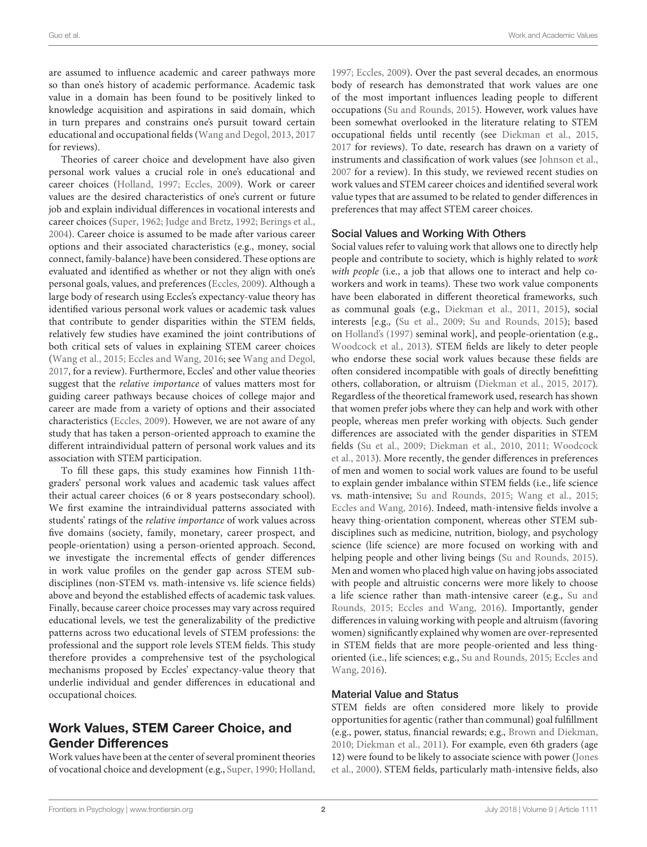are assumed to influence academic and career pathways more so than one's history of academic performance. Academic task value in a domain has been found to be positively linked to knowledge acquisition and aspirations in said domain, which in turn prepares and constrains one's pursuit toward certain educational and occupational fields [\(Wang and Degol, 2013,](#page-14-4) [2017](#page-14-3) for reviews).

Theories of career choice and development have also given personal work values a crucial role in one's educational and career choices [\(Holland, 1997;](#page-13-1) [Eccles, 2009\)](#page-13-0). Work or career values are the desired characteristics of one's current or future job and explain individual differences in vocational interests and career choices [\(Super, 1962;](#page-14-5) [Judge and Bretz, 1992;](#page-13-2) [Berings et al.,](#page-13-3) [2004\)](#page-13-3). Career choice is assumed to be made after various career options and their associated characteristics (e.g., money, social connect, family-balance) have been considered. These options are evaluated and identified as whether or not they align with one's personal goals, values, and preferences [\(Eccles, 2009\)](#page-13-0). Although a large body of research using Eccles's expectancy-value theory has identified various personal work values or academic task values that contribute to gender disparities within the STEM fields, relatively few studies have examined the joint contributions of both critical sets of values in explaining STEM career choices [\(Wang et al., 2015;](#page-14-6) [Eccles and Wang, 2016;](#page-13-4) see [Wang and Degol,](#page-14-3) [2017,](#page-14-3) for a review). Furthermore, Eccles' and other value theories suggest that the relative importance of values matters most for guiding career pathways because choices of college major and career are made from a variety of options and their associated characteristics [\(Eccles, 2009\)](#page-13-0). However, we are not aware of any study that has taken a person-oriented approach to examine the different intraindividual pattern of personal work values and its association with STEM participation.

To fill these gaps, this study examines how Finnish 11thgraders' personal work values and academic task values affect their actual career choices (6 or 8 years postsecondary school). We first examine the intraindividual patterns associated with students' ratings of the relative importance of work values across five domains (society, family, monetary, career prospect, and people-orientation) using a person-oriented approach. Second, we investigate the incremental effects of gender differences in work value profiles on the gender gap across STEM subdisciplines (non-STEM vs. math-intensive vs. life science fields) above and beyond the established effects of academic task values. Finally, because career choice processes may vary across required educational levels, we test the generalizability of the predictive patterns across two educational levels of STEM professions: the professional and the support role levels STEM fields. This study therefore provides a comprehensive test of the psychological mechanisms proposed by Eccles' expectancy-value theory that underlie individual and gender differences in educational and occupational choices.

## Work Values, STEM Career Choice, and Gender Differences

Work values have been at the center of several prominent theories of vocational choice and development (e.g., [Super, 1990;](#page-14-7) [Holland,](#page-13-1) [1997;](#page-13-1) [Eccles, 2009\)](#page-13-0). Over the past several decades, an enormous body of research has demonstrated that work values are one of the most important influences leading people to different occupations [\(Su and Rounds, 2015\)](#page-14-8). However, work values have been somewhat overlooked in the literature relating to STEM occupational fields until recently (see [Diekman et al., 2015,](#page-13-5) [2017](#page-13-6) for reviews). To date, research has drawn on a variety of instruments and classification of work values (see [Johnson et al.,](#page-13-7) [2007](#page-13-7) for a review). In this study, we reviewed recent studies on work values and STEM career choices and identified several work value types that are assumed to be related to gender differences in preferences that may affect STEM career choices.

### Social Values and Working With Others

Social values refer to valuing work that allows one to directly help people and contribute to society, which is highly related to work with people (i.e., a job that allows one to interact and help coworkers and work in teams). These two work value components have been elaborated in different theoretical frameworks, such as communal goals (e.g., [Diekman et al., 2011,](#page-13-8) [2015\)](#page-13-5), social interests [e.g., [\(Su et al., 2009;](#page-14-9) [Su and Rounds, 2015\)](#page-14-8); based on [Holland's \(1997\)](#page-13-1) seminal work], and people-orientation (e.g., [Woodcock et al., 2013\)](#page-14-10). STEM fields are likely to deter people who endorse these social work values because these fields are often considered incompatible with goals of directly benefitting others, collaboration, or altruism [\(Diekman et al., 2015,](#page-13-5) [2017\)](#page-13-6). Regardless of the theoretical framework used, research has shown that women prefer jobs where they can help and work with other people, whereas men prefer working with objects. Such gender differences are associated with the gender disparities in STEM fields [\(Su et al., 2009;](#page-14-9) [Diekman et al., 2010,](#page-13-9) [2011;](#page-13-8) Woodcock et al., [2013\)](#page-14-10). More recently, the gender differences in preferences of men and women to social work values are found to be useful to explain gender imbalance within STEM fields (i.e., life science vs. math-intensive; [Su and Rounds, 2015;](#page-14-8) [Wang et al., 2015;](#page-14-6) [Eccles and Wang, 2016\)](#page-13-4). Indeed, math-intensive fields involve a heavy thing-orientation component, whereas other STEM subdisciplines such as medicine, nutrition, biology, and psychology science (life science) are more focused on working with and helping people and other living beings [\(Su and Rounds, 2015\)](#page-14-8). Men and women who placed high value on having jobs associated with people and altruistic concerns were more likely to choose a life science rather than math-intensive career (e.g., Su and Rounds, [2015;](#page-14-8) [Eccles and Wang, 2016\)](#page-13-4). Importantly, gender differences in valuing working with people and altruism (favoring women) significantly explained why women are over-represented in STEM fields that are more people-oriented and less thingoriented (i.e., life sciences; e.g., [Su and Rounds, 2015;](#page-14-8) Eccles and Wang, [2016\)](#page-13-4).

### Material Value and Status

STEM fields are often considered more likely to provide opportunities for agentic (rather than communal) goal fulfillment (e.g., power, status, financial rewards; e.g., [Brown and Diekman,](#page-13-10) [2010;](#page-13-10) [Diekman et al., 2011\)](#page-13-8). For example, even 6th graders (age 12) were found to be likely to associate science with power (Jones et al., [2000\)](#page-13-11). STEM fields, particularly math-intensive fields, also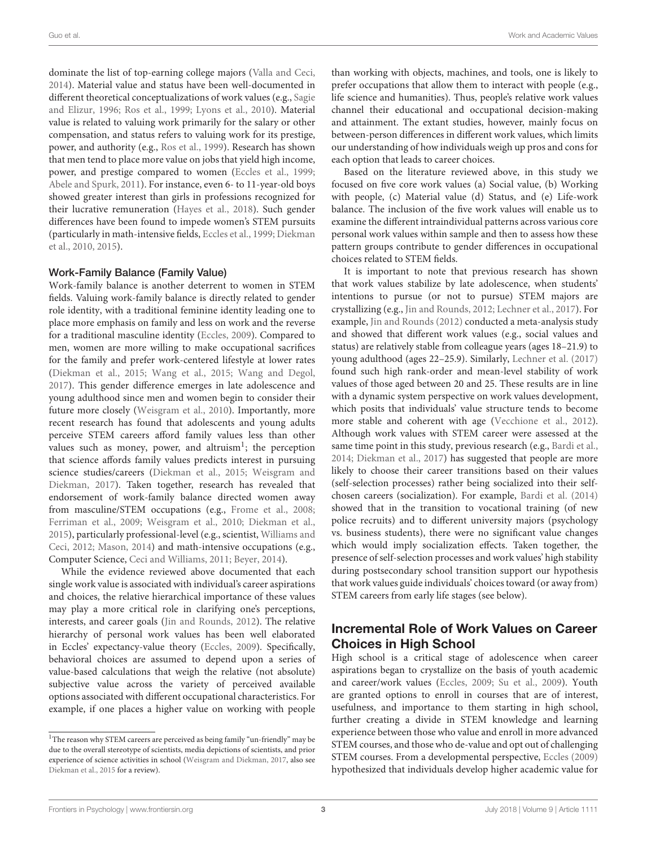dominate the list of top-earning college majors [\(Valla and Ceci,](#page-14-0) [2014\)](#page-14-0). Material value and status have been well-documented in different theoretical conceptualizations of work values (e.g., Sagie and Elizur, [1996;](#page-14-11) [Ros et al., 1999;](#page-14-12) [Lyons et al., 2010\)](#page-13-12). Material value is related to valuing work primarily for the salary or other compensation, and status refers to valuing work for its prestige, power, and authority (e.g., [Ros et al., 1999\)](#page-14-12). Research has shown that men tend to place more value on jobs that yield high income, power, and prestige compared to women [\(Eccles et al., 1999;](#page-13-13) [Abele and Spurk, 2011\)](#page-13-14). For instance, even 6- to 11-year-old boys showed greater interest than girls in professions recognized for their lucrative remuneration [\(Hayes et al., 2018\)](#page-13-15). Such gender differences have been found to impede women's STEM pursuits (particularly in math-intensive fields, [Eccles et al., 1999;](#page-13-13) Diekman et al., [2010,](#page-13-9) [2015\)](#page-13-5).

### Work-Family Balance (Family Value)

Work-family balance is another deterrent to women in STEM fields. Valuing work-family balance is directly related to gender role identity, with a traditional feminine identity leading one to place more emphasis on family and less on work and the reverse for a traditional masculine identity [\(Eccles, 2009\)](#page-13-0). Compared to men, women are more willing to make occupational sacrifices for the family and prefer work-centered lifestyle at lower rates [\(Diekman et al., 2015;](#page-13-5) [Wang et al., 2015;](#page-14-6) [Wang and Degol,](#page-14-3) [2017\)](#page-14-3). This gender difference emerges in late adolescence and young adulthood since men and women begin to consider their future more closely [\(Weisgram et al., 2010\)](#page-14-13). Importantly, more recent research has found that adolescents and young adults perceive STEM careers afford family values less than other values such as money, power, and altruism<sup>[1](#page-2-0)</sup>; the perception that science affords family values predicts interest in pursuing science studies/careers [\(Diekman et al., 2015;](#page-13-5) Weisgram and Diekman, [2017\)](#page-14-14). Taken together, research has revealed that endorsement of work-family balance directed women away from masculine/STEM occupations (e.g., [Frome et al., 2008;](#page-13-16) [Ferriman et al., 2009;](#page-13-17) [Weisgram et al., 2010;](#page-14-13) [Diekman et al.,](#page-13-5) [2015\)](#page-13-5), particularly professional-level (e.g., scientist, Williams and Ceci, [2012;](#page-14-15) [Mason, 2014\)](#page-13-18) and math-intensive occupations (e.g., Computer Science, [Ceci and Williams, 2011;](#page-13-19) [Beyer, 2014\)](#page-13-20).

While the evidence reviewed above documented that each single work value is associated with individual's career aspirations and choices, the relative hierarchical importance of these values may play a more critical role in clarifying one's perceptions, interests, and career goals [\(Jin and Rounds, 2012\)](#page-13-21). The relative hierarchy of personal work values has been well elaborated in Eccles' expectancy-value theory [\(Eccles, 2009\)](#page-13-0). Specifically, behavioral choices are assumed to depend upon a series of value-based calculations that weigh the relative (not absolute) subjective value across the variety of perceived available options associated with different occupational characteristics. For example, if one places a higher value on working with people than working with objects, machines, and tools, one is likely to prefer occupations that allow them to interact with people (e.g., life science and humanities). Thus, people's relative work values channel their educational and occupational decision-making and attainment. The extant studies, however, mainly focus on between-person differences in different work values, which limits our understanding of how individuals weigh up pros and cons for each option that leads to career choices.

Based on the literature reviewed above, in this study we focused on five core work values (a) Social value, (b) Working with people, (c) Material value (d) Status, and (e) Life-work balance. The inclusion of the five work values will enable us to examine the different intraindividual patterns across various core personal work values within sample and then to assess how these pattern groups contribute to gender differences in occupational choices related to STEM fields.

It is important to note that previous research has shown that work values stabilize by late adolescence, when students' intentions to pursue (or not to pursue) STEM majors are crystallizing (e.g., [Jin and Rounds, 2012;](#page-13-21) [Lechner et al., 2017\)](#page-13-22). For example, [Jin and Rounds \(2012\)](#page-13-21) conducted a meta-analysis study and showed that different work values (e.g., social values and status) are relatively stable from colleague years (ages 18–21.9) to young adulthood (ages 22–25.9). Similarly, [Lechner et al. \(2017\)](#page-13-22) found such high rank-order and mean-level stability of work values of those aged between 20 and 25. These results are in line with a dynamic system perspective on work values development, which posits that individuals' value structure tends to become more stable and coherent with age [\(Vecchione et al., 2012\)](#page-14-16). Although work values with STEM career were assessed at the same time point in this study, previous research (e.g., [Bardi et al.,](#page-13-23) [2014;](#page-13-23) [Diekman et al., 2017\)](#page-13-6) has suggested that people are more likely to choose their career transitions based on their values (self-selection processes) rather being socialized into their selfchosen careers (socialization). For example, [Bardi et al. \(2014\)](#page-13-23) showed that in the transition to vocational training (of new police recruits) and to different university majors (psychology vs. business students), there were no significant value changes which would imply socialization effects. Taken together, the presence of self-selection processes and work values' high stability during postsecondary school transition support our hypothesis that work values guide individuals' choices toward (or away from) STEM careers from early life stages (see below).

## Incremental Role of Work Values on Career Choices in High School

High school is a critical stage of adolescence when career aspirations began to crystallize on the basis of youth academic and career/work values [\(Eccles, 2009;](#page-13-0) [Su et al., 2009\)](#page-14-9). Youth are granted options to enroll in courses that are of interest, usefulness, and importance to them starting in high school, further creating a divide in STEM knowledge and learning experience between those who value and enroll in more advanced STEM courses, and those who de-value and opt out of challenging STEM courses. From a developmental perspective, [Eccles \(2009\)](#page-13-0) hypothesized that individuals develop higher academic value for

<span id="page-2-0"></span><sup>&</sup>lt;sup>1</sup>The reason why STEM careers are perceived as being family "un-friendly" may be due to the overall stereotype of scientists, media depictions of scientists, and prior experience of science activities in school [\(Weisgram and Diekman, 2017,](#page-14-14) also see [Diekman et al., 2015](#page-13-5) for a review).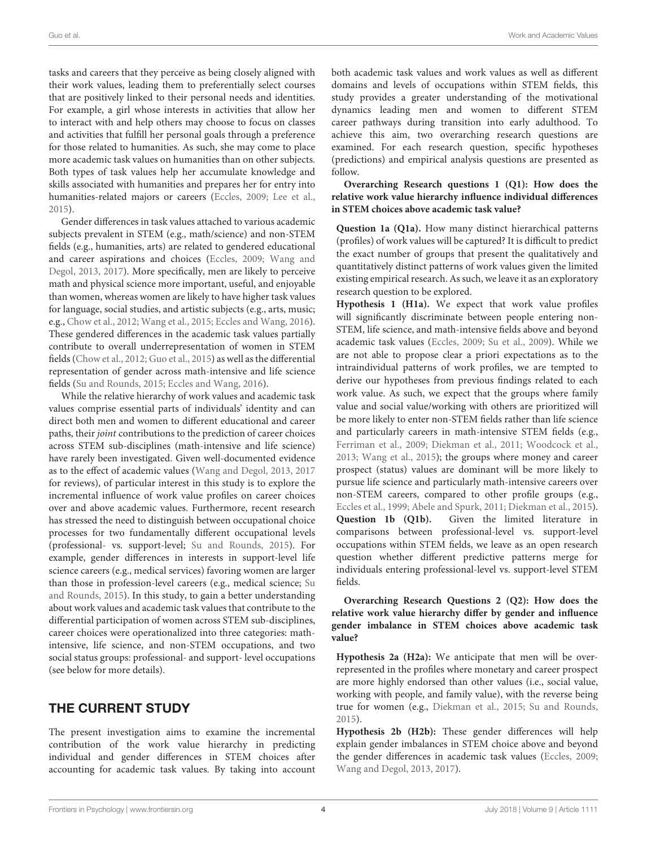tasks and careers that they perceive as being closely aligned with their work values, leading them to preferentially select courses that are positively linked to their personal needs and identities. For example, a girl whose interests in activities that allow her to interact with and help others may choose to focus on classes and activities that fulfill her personal goals through a preference for those related to humanities. As such, she may come to place more academic task values on humanities than on other subjects. Both types of task values help her accumulate knowledge and skills associated with humanities and prepares her for entry into humanities-related majors or careers [\(Eccles, 2009;](#page-13-0) [Lee et al.,](#page-13-24) [2015\)](#page-13-24).

Gender differences in task values attached to various academic subjects prevalent in STEM (e.g., math/science) and non-STEM fields (e.g., humanities, arts) are related to gendered educational and career aspirations and choices [\(Eccles, 2009;](#page-13-0) Wang and Degol, [2013,](#page-14-4) [2017\)](#page-14-3). More specifically, men are likely to perceive math and physical science more important, useful, and enjoyable than women, whereas women are likely to have higher task values for language, social studies, and artistic subjects (e.g., arts, music; e.g., [Chow et al., 2012;](#page-13-25) [Wang et al., 2015;](#page-14-6) [Eccles and Wang, 2016\)](#page-13-4). These gendered differences in the academic task values partially contribute to overall underrepresentation of women in STEM fields [\(Chow et al., 2012;](#page-13-25) [Guo et al., 2015\)](#page-13-26) as well as the differential representation of gender across math-intensive and life science fields [\(Su and Rounds, 2015;](#page-14-8) [Eccles and Wang, 2016\)](#page-13-4).

While the relative hierarchy of work values and academic task values comprise essential parts of individuals' identity and can direct both men and women to different educational and career paths, their joint contributions to the prediction of career choices across STEM sub-disciplines (math-intensive and life science) have rarely been investigated. Given well-documented evidence as to the effect of academic values [\(Wang and Degol, 2013,](#page-14-4) [2017](#page-14-3) for reviews), of particular interest in this study is to explore the incremental influence of work value profiles on career choices over and above academic values. Furthermore, recent research has stressed the need to distinguish between occupational choice processes for two fundamentally different occupational levels (professional- vs. support-level; [Su and Rounds, 2015\)](#page-14-8). For example, gender differences in interests in support-level life science careers (e.g., medical services) favoring women are larger than those in profession-level careers (e.g., medical science; Su and Rounds, [2015\)](#page-14-8). In this study, to gain a better understanding about work values and academic task values that contribute to the differential participation of women across STEM sub-disciplines, career choices were operationalized into three categories: mathintensive, life science, and non-STEM occupations, and two social status groups: professional- and support- level occupations (see below for more details).

## THE CURRENT STUDY

The present investigation aims to examine the incremental contribution of the work value hierarchy in predicting individual and gender differences in STEM choices after accounting for academic task values. By taking into account both academic task values and work values as well as different domains and levels of occupations within STEM fields, this study provides a greater understanding of the motivational dynamics leading men and women to different STEM career pathways during transition into early adulthood. To achieve this aim, two overarching research questions are examined. For each research question, specific hypotheses (predictions) and empirical analysis questions are presented as follow.

### **Overarching Research questions 1 (Q1): How does the relative work value hierarchy influence individual differences in STEM choices above academic task value?**

**Question 1a (Q1a).** How many distinct hierarchical patterns (profiles) of work values will be captured? It is difficult to predict the exact number of groups that present the qualitatively and quantitatively distinct patterns of work values given the limited existing empirical research. As such, we leave it as an exploratory research question to be explored.

**Hypothesis 1 (H1a).** We expect that work value profiles will significantly discriminate between people entering non-STEM, life science, and math-intensive fields above and beyond academic task values [\(Eccles, 2009;](#page-13-0) [Su et al., 2009\)](#page-14-9). While we are not able to propose clear a priori expectations as to the intraindividual patterns of work profiles, we are tempted to derive our hypotheses from previous findings related to each work value. As such, we expect that the groups where family value and social value/working with others are prioritized will be more likely to enter non-STEM fields rather than life science and particularly careers in math-intensive STEM fields (e.g., [Ferriman et al., 2009;](#page-13-17) [Diekman et al., 2011;](#page-13-8) [Woodcock et al.,](#page-14-10) [2013;](#page-14-10) [Wang et al., 2015\)](#page-14-6); the groups where money and career prospect (status) values are dominant will be more likely to pursue life science and particularly math-intensive careers over non-STEM careers, compared to other profile groups (e.g., [Eccles et al., 1999;](#page-13-13) [Abele and Spurk, 2011;](#page-13-14) [Diekman et al., 2015\)](#page-13-5). **Question 1b (Q1b).** Given the limited literature in comparisons between professional-level vs. support-level occupations within STEM fields, we leave as an open research question whether different predictive patterns merge for individuals entering professional-level vs. support-level STEM fields.

**Overarching Research Questions 2 (Q2): How does the relative work value hierarchy differ by gender and influence gender imbalance in STEM choices above academic task value?**

**Hypothesis 2a (H2a):** We anticipate that men will be overrepresented in the profiles where monetary and career prospect are more highly endorsed than other values (i.e., social value, working with people, and family value), with the reverse being true for women (e.g., [Diekman et al., 2015;](#page-13-5) [Su and Rounds,](#page-14-8) [2015\)](#page-14-8).

**Hypothesis 2b (H2b):** These gender differences will help explain gender imbalances in STEM choice above and beyond the gender differences in academic task values [\(Eccles, 2009;](#page-13-0) [Wang and Degol, 2013,](#page-14-4) [2017\)](#page-14-3).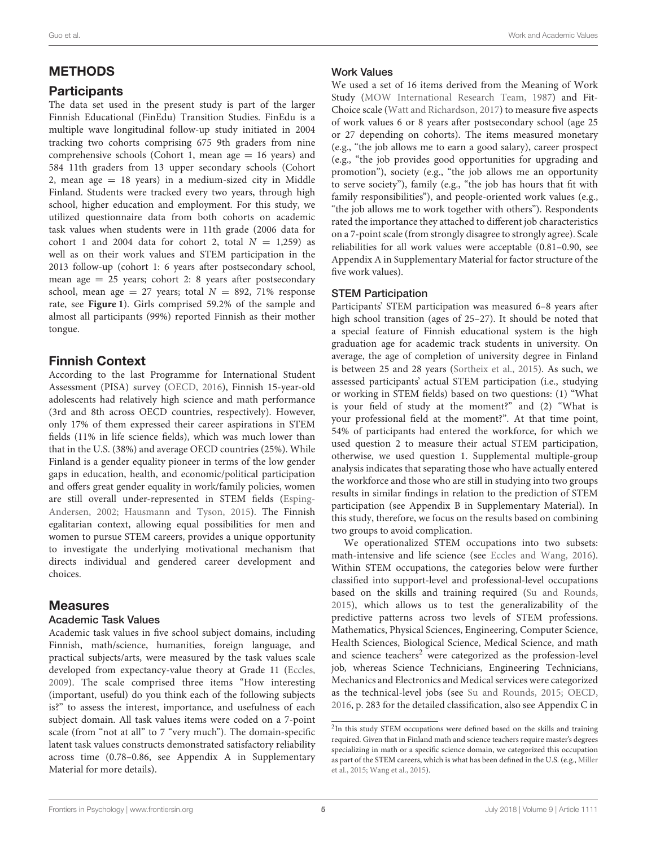## METHODS

## **Participants**

The data set used in the present study is part of the larger Finnish Educational (FinEdu) Transition Studies. FinEdu is a multiple wave longitudinal follow-up study initiated in 2004 tracking two cohorts comprising 675 9th graders from nine comprehensive schools (Cohort 1, mean age  $= 16$  years) and 584 11th graders from 13 upper secondary schools (Cohort 2, mean age = 18 years) in a medium-sized city in Middle Finland. Students were tracked every two years, through high school, higher education and employment. For this study, we utilized questionnaire data from both cohorts on academic task values when students were in 11th grade (2006 data for cohort 1 and 2004 data for cohort 2, total  $N = 1,259$  as well as on their work values and STEM participation in the 2013 follow-up (cohort 1: 6 years after postsecondary school, mean age = 25 years; cohort 2: 8 years after postsecondary school, mean age = 27 years; total  $N = 892, 71\%$  response rate, see **[Figure 1](#page-5-0)**). Girls comprised 59.2% of the sample and almost all participants (99%) reported Finnish as their mother tongue.

## Finnish Context

According to the last Programme for International Student Assessment (PISA) survey [\(OECD, 2016\)](#page-14-2), Finnish 15-year-old adolescents had relatively high science and math performance (3rd and 8th across OECD countries, respectively). However, only 17% of them expressed their career aspirations in STEM fields (11% in life science fields), which was much lower than that in the U.S. (38%) and average OECD countries (25%). While Finland is a gender equality pioneer in terms of the low gender gaps in education, health, and economic/political participation and offers great gender equality in work/family policies, women are still overall under-represented in STEM fields (Esping-Andersen, [2002;](#page-13-27) [Hausmann and Tyson, 2015\)](#page-13-28). The Finnish egalitarian context, allowing equal possibilities for men and women to pursue STEM careers, provides a unique opportunity to investigate the underlying motivational mechanism that directs individual and gendered career development and choices.

## **Measures**

### Academic Task Values

Academic task values in five school subject domains, including Finnish, math/science, humanities, foreign language, and practical subjects/arts, were measured by the task values scale developed from expectancy-value theory at Grade 11 [\(Eccles,](#page-13-0) [2009\)](#page-13-0). The scale comprised three items "How interesting (important, useful) do you think each of the following subjects is?" to assess the interest, importance, and usefulness of each subject domain. All task values items were coded on a 7-point scale (from "not at all" to 7 "very much"). The domain-specific latent task values constructs demonstrated satisfactory reliability across time (0.78–0.86, see Appendix A in Supplementary Material for more details).

### Work Values

We used a set of 16 items derived from the Meaning of Work Study [\(MOW International Research Team, 1987\)](#page-13-29) and Fit-Choice scale [\(Watt and Richardson, 2017\)](#page-14-17) to measure five aspects of work values 6 or 8 years after postsecondary school (age 25 or 27 depending on cohorts). The items measured monetary (e.g., "the job allows me to earn a good salary), career prospect (e.g., "the job provides good opportunities for upgrading and promotion"), society (e.g., "the job allows me an opportunity to serve society"), family (e.g., "the job has hours that fit with family responsibilities"), and people-oriented work values (e.g., "the job allows me to work together with others"). Respondents rated the importance they attached to different job characteristics on a 7-point scale (from strongly disagree to strongly agree). Scale reliabilities for all work values were acceptable (0.81–0.90, see Appendix A in Supplementary Material for factor structure of the five work values).

### STEM Participation

Participants' STEM participation was measured 6–8 years after high school transition (ages of 25–27). It should be noted that a special feature of Finnish educational system is the high graduation age for academic track students in university. On average, the age of completion of university degree in Finland is between 25 and 28 years [\(Sortheix et al., 2015\)](#page-14-18). As such, we assessed participants' actual STEM participation (i.e., studying or working in STEM fields) based on two questions: (1) "What is your field of study at the moment?" and (2) "What is your professional field at the moment?". At that time point, 54% of participants had entered the workforce, for which we used question 2 to measure their actual STEM participation, otherwise, we used question 1. Supplemental multiple-group analysis indicates that separating those who have actually entered the workforce and those who are still in studying into two groups results in similar findings in relation to the prediction of STEM participation (see Appendix B in Supplementary Material). In this study, therefore, we focus on the results based on combining two groups to avoid complication.

We operationalized STEM occupations into two subsets: math-intensive and life science (see [Eccles and Wang, 2016\)](#page-13-4). Within STEM occupations, the categories below were further classified into support-level and professional-level occupations based on the skills and training required [\(Su and Rounds,](#page-14-8) [2015\)](#page-14-8), which allows us to test the generalizability of the predictive patterns across two levels of STEM professions. Mathematics, Physical Sciences, Engineering, Computer Science, Health Sciences, Biological Science, Medical Science, and math and science teachers<sup>[2](#page-4-0)</sup> were categorized as the profession-level job, whereas Science Technicians, Engineering Technicians, Mechanics and Electronics and Medical services were categorized as the technical-level jobs (see [Su and Rounds, 2015;](#page-14-8) [OECD,](#page-14-2) [2016,](#page-14-2) p. 283 for the detailed classification, also see Appendix C in

<span id="page-4-0"></span><sup>&</sup>lt;sup>2</sup>In this study STEM occupations were defined based on the skills and training required. Given that in Finland math and science teachers require master's degrees specializing in math or a specific science domain, we categorized this occupation as part of the STEM careers, which is what has been defined in the U.S. (e.g., Miller et al., [2015;](#page-13-30) [Wang et al., 2015\)](#page-14-6).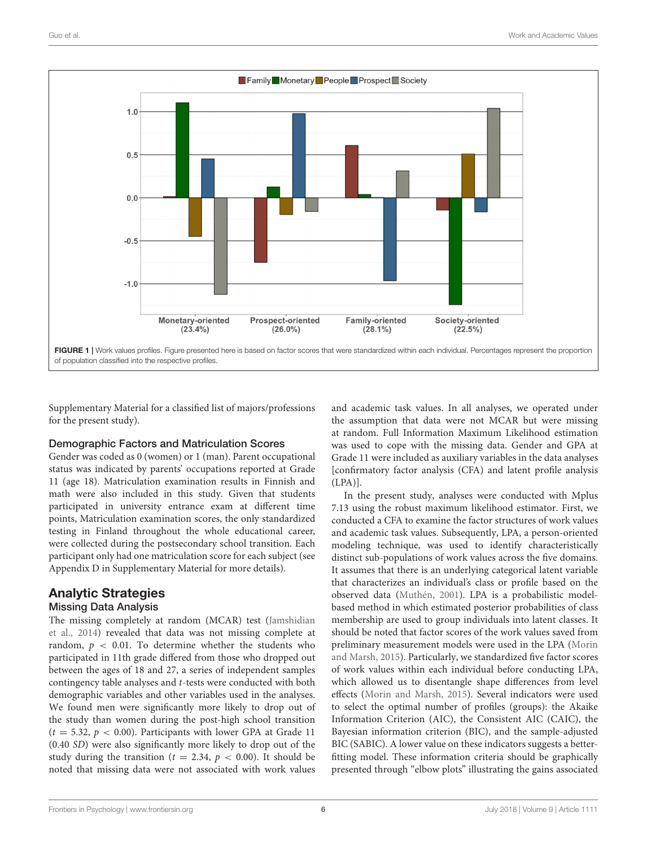

<span id="page-5-0"></span>Supplementary Material for a classified list of majors/professions for the present study).

### Demographic Factors and Matriculation Scores

Gender was coded as 0 (women) or 1 (man). Parent occupational status was indicated by parents' occupations reported at Grade 11 (age 18). Matriculation examination results in Finnish and math were also included in this study. Given that students participated in university entrance exam at different time points, Matriculation examination scores, the only standardized testing in Finland throughout the whole educational career, were collected during the postsecondary school transition. Each participant only had one matriculation score for each subject (see Appendix D in Supplementary Material for more details).

## Analytic Strategies

### Missing Data Analysis

The missing completely at random (MCAR) test (Jamshidian et al., [2014\)](#page-13-31) revealed that data was not missing complete at random,  $p < 0.01$ . To determine whether the students who participated in 11th grade differed from those who dropped out between the ages of 18 and 27, a series of independent samples contingency table analyses and t-tests were conducted with both demographic variables and other variables used in the analyses. We found men were significantly more likely to drop out of the study than women during the post-high school transition  $(t = 5.32, p < 0.00)$ . Participants with lower GPA at Grade 11 (0.40 SD) were also significantly more likely to drop out of the study during the transition ( $t = 2.34$ ,  $p < 0.00$ ). It should be noted that missing data were not associated with work values and academic task values. In all analyses, we operated under the assumption that data were not MCAR but were missing at random. Full Information Maximum Likelihood estimation was used to cope with the missing data. Gender and GPA at Grade 11 were included as auxiliary variables in the data analyses [confirmatory factor analysis (CFA) and latent profile analysis (LPA)].

In the present study, analyses were conducted with Mplus 7.13 using the robust maximum likelihood estimator. First, we conducted a CFA to examine the factor structures of work values and academic task values. Subsequently, LPA, a person-oriented modeling technique, was used to identify characteristically distinct sub-populations of work values across the five domains. It assumes that there is an underlying categorical latent variable that characterizes an individual's class or profile based on the observed data [\(Muthén, 2001\)](#page-14-19). LPA is a probabilistic modelbased method in which estimated posterior probabilities of class membership are used to group individuals into latent classes. It should be noted that factor scores of the work values saved from preliminary measurement models were used in the LPA (Morin and Marsh, [2015\)](#page-13-32). Particularly, we standardized five factor scores of work values within each individual before conducting LPA, which allowed us to disentangle shape differences from level effects [\(Morin and Marsh, 2015\)](#page-13-32). Several indicators were used to select the optimal number of profiles (groups): the Akaike Information Criterion (AIC), the Consistent AIC (CAIC), the Bayesian information criterion (BIC), and the sample-adjusted BIC (SABIC). A lower value on these indicators suggests a betterfitting model. These information criteria should be graphically presented through "elbow plots" illustrating the gains associated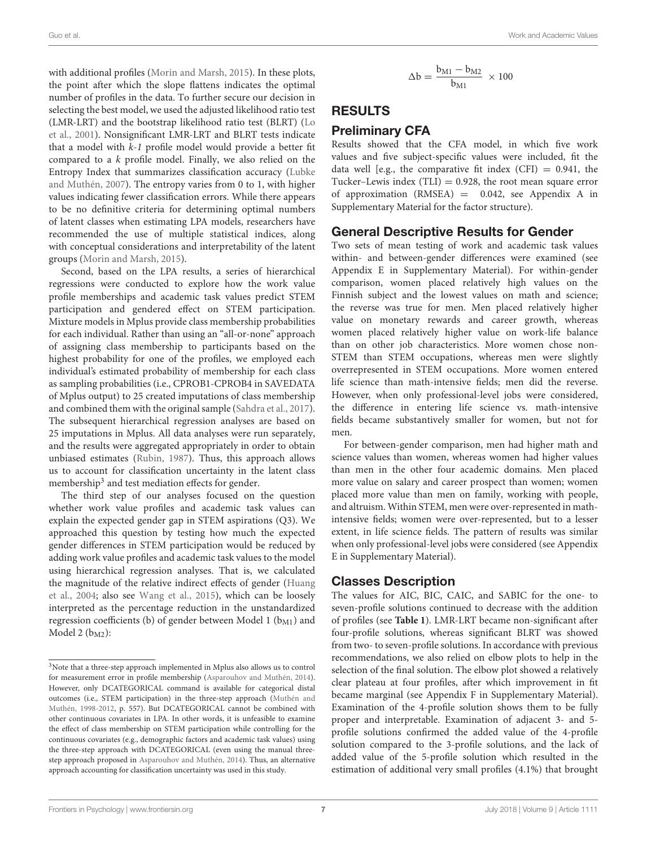with additional profiles [\(Morin and Marsh, 2015\)](#page-13-32). In these plots, the point after which the slope flattens indicates the optimal number of profiles in the data. To further secure our decision in selecting the best model, we used the adjusted likelihood ratio test (LMR-LRT) and the bootstrap likelihood ratio test (BLRT) (Lo et al., [2001\)](#page-13-33). Nonsignificant LMR-LRT and BLRT tests indicate that a model with  $k-1$  profile model would provide a better fit compared to a k profile model. Finally, we also relied on the Entropy Index that summarizes classification accuracy (Lubke and Muthén, [2007\)](#page-13-34). The entropy varies from 0 to 1, with higher values indicating fewer classification errors. While there appears to be no definitive criteria for determining optimal numbers of latent classes when estimating LPA models, researchers have recommended the use of multiple statistical indices, along with conceptual considerations and interpretability of the latent groups [\(Morin and Marsh, 2015\)](#page-13-32).

Second, based on the LPA results, a series of hierarchical regressions were conducted to explore how the work value profile memberships and academic task values predict STEM participation and gendered effect on STEM participation. Mixture models in Mplus provide class membership probabilities for each individual. Rather than using an "all-or-none" approach of assigning class membership to participants based on the highest probability for one of the profiles, we employed each individual's estimated probability of membership for each class as sampling probabilities (i.e., CPROB1-CPROB4 in SAVEDATA of Mplus output) to 25 created imputations of class membership and combined them with the original sample [\(Sahdra et al., 2017\)](#page-14-20). The subsequent hierarchical regression analyses are based on 25 imputations in Mplus. All data analyses were run separately, and the results were aggregated appropriately in order to obtain unbiased estimates [\(Rubin, 1987\)](#page-14-21). Thus, this approach allows us to account for classification uncertainty in the latent class membership<sup>[3](#page-6-0)</sup> and test mediation effects for gender.

The third step of our analyses focused on the question whether work value profiles and academic task values can explain the expected gender gap in STEM aspirations (Q3). We approached this question by testing how much the expected gender differences in STEM participation would be reduced by adding work value profiles and academic task values to the model using hierarchical regression analyses. That is, we calculated the magnitude of the relative indirect effects of gender (Huang et al., [2004;](#page-13-35) also see [Wang et al., 2015\)](#page-14-6), which can be loosely interpreted as the percentage reduction in the unstandardized regression coefficients (b) of gender between Model 1 ( $b_{M1}$ ) and Model 2  $(b_{M2})$ :

$$
\Delta b=\frac{b_{M1}-b_{M2}}{b_{M1}}\,\times 100
$$

## RESULTS

## Preliminary CFA

Results showed that the CFA model, in which five work values and five subject-specific values were included, fit the data well [e.g., the comparative fit index  $(CFI) = 0.941$ , the Tucker–Lewis index  $(TLI) = 0.928$ , the root mean square error of approximation  $(RMSEA) = 0.042$ , see Appendix A in Supplementary Material for the factor structure).

## General Descriptive Results for Gender

Two sets of mean testing of work and academic task values within- and between-gender differences were examined (see Appendix E in Supplementary Material). For within-gender comparison, women placed relatively high values on the Finnish subject and the lowest values on math and science; the reverse was true for men. Men placed relatively higher value on monetary rewards and career growth, whereas women placed relatively higher value on work-life balance than on other job characteristics. More women chose non-STEM than STEM occupations, whereas men were slightly overrepresented in STEM occupations. More women entered life science than math-intensive fields; men did the reverse. However, when only professional-level jobs were considered, the difference in entering life science vs. math-intensive fields became substantively smaller for women, but not for men.

For between-gender comparison, men had higher math and science values than women, whereas women had higher values than men in the other four academic domains. Men placed more value on salary and career prospect than women; women placed more value than men on family, working with people, and altruism. Within STEM, men were over-represented in mathintensive fields; women were over-represented, but to a lesser extent, in life science fields. The pattern of results was similar when only professional-level jobs were considered (see Appendix E in Supplementary Material).

## Classes Description

The values for AIC, BIC, CAIC, and SABIC for the one- to seven-profile solutions continued to decrease with the addition of profiles (see **[Table 1](#page-8-0)**). LMR-LRT became non-significant after four-profile solutions, whereas significant BLRT was showed from two- to seven-profile solutions. In accordance with previous recommendations, we also relied on elbow plots to help in the selection of the final solution. The elbow plot showed a relatively clear plateau at four profiles, after which improvement in fit became marginal (see Appendix F in Supplementary Material). Examination of the 4-profile solution shows them to be fully proper and interpretable. Examination of adjacent 3- and 5 profile solutions confirmed the added value of the 4-profile solution compared to the 3-profile solutions, and the lack of added value of the 5-profile solution which resulted in the estimation of additional very small profiles (4.1%) that brought

<span id="page-6-0"></span><sup>3</sup>Note that a three-step approach implemented in Mplus also allows us to control for measurement error in profile membership [\(Asparouhov and Muthén, 2014\)](#page-13-36). However, only DCATEGORICAL command is available for categorical distal outcomes (i.e., STEM participation) in the three-step approach (Muthén and Muthén, [1998-2012,](#page-14-22) p. 557). But DCATEGORICAL cannot be combined with other continuous covariates in LPA. In other words, it is unfeasible to examine the effect of class membership on STEM participation while controlling for the continuous covariates (e.g., demographic factors and academic task values) using the three-step approach with DCATEGORICAL (even using the manual threestep approach proposed in [Asparouhov and Muthén, 2014\)](#page-13-36). Thus, an alternative approach accounting for classification uncertainty was used in this study.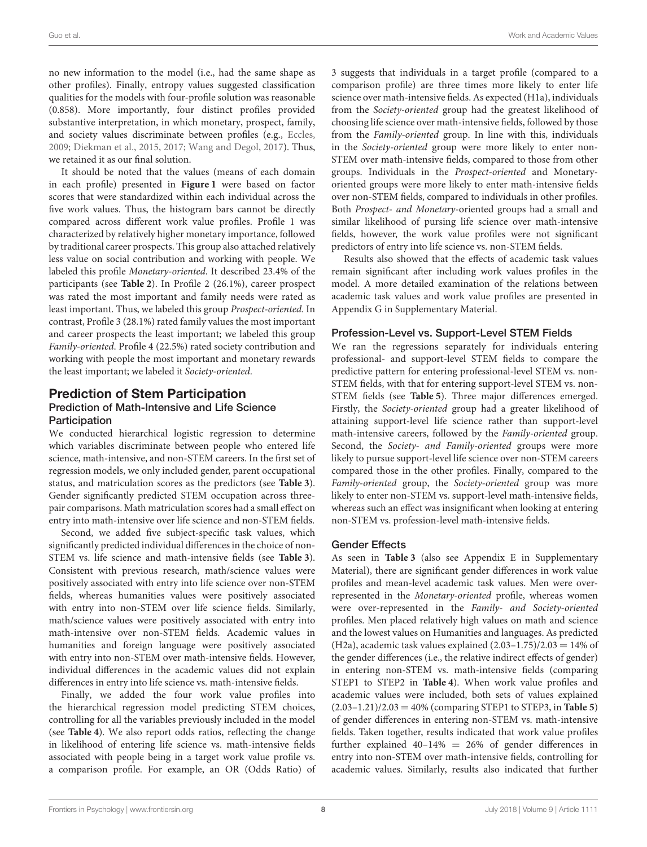no new information to the model (i.e., had the same shape as other profiles). Finally, entropy values suggested classification qualities for the models with four-profile solution was reasonable (0.858). More importantly, four distinct profiles provided substantive interpretation, in which monetary, prospect, family, and society values discriminate between profiles (e.g., [Eccles,](#page-13-0) [2009;](#page-13-0) [Diekman et al., 2015,](#page-13-5) [2017;](#page-13-6) [Wang and Degol, 2017\)](#page-14-3). Thus, we retained it as our final solution.

It should be noted that the values (means of each domain in each profile) presented in **[Figure 1](#page-5-0)** were based on factor scores that were standardized within each individual across the five work values. Thus, the histogram bars cannot be directly compared across different work value profiles. Profile 1 was characterized by relatively higher monetary importance, followed by traditional career prospects. This group also attached relatively less value on social contribution and working with people. We labeled this profile Monetary-oriented. It described 23.4% of the participants (see **[Table 2](#page-8-1)**). In Profile 2 (26.1%), career prospect was rated the most important and family needs were rated as least important. Thus, we labeled this group Prospect-oriented. In contrast, Profile 3 (28.1%) rated family values the most important and career prospects the least important; we labeled this group Family-oriented. Profile 4 (22.5%) rated society contribution and working with people the most important and monetary rewards the least important; we labeled it Society-oriented.

## Prediction of Stem Participation Prediction of Math-Intensive and Life Science **Participation**

We conducted hierarchical logistic regression to determine which variables discriminate between people who entered life science, math-intensive, and non-STEM careers. In the first set of regression models, we only included gender, parent occupational status, and matriculation scores as the predictors (see **[Table 3](#page-9-0)**). Gender significantly predicted STEM occupation across threepair comparisons. Math matriculation scores had a small effect on entry into math-intensive over life science and non-STEM fields.

Second, we added five subject-specific task values, which significantly predicted individual differences in the choice of non-STEM vs. life science and math-intensive fields (see **[Table 3](#page-9-0)**). Consistent with previous research, math/science values were positively associated with entry into life science over non-STEM fields, whereas humanities values were positively associated with entry into non-STEM over life science fields. Similarly, math/science values were positively associated with entry into math-intensive over non-STEM fields. Academic values in humanities and foreign language were positively associated with entry into non-STEM over math-intensive fields. However, individual differences in the academic values did not explain differences in entry into life science vs. math-intensive fields.

Finally, we added the four work value profiles into the hierarchical regression model predicting STEM choices, controlling for all the variables previously included in the model (see **[Table 4](#page-10-0)**). We also report odds ratios, reflecting the change in likelihood of entering life science vs. math-intensive fields associated with people being in a target work value profile vs. a comparison profile. For example, an OR (Odds Ratio) of 3 suggests that individuals in a target profile (compared to a comparison profile) are three times more likely to enter life science over math-intensive fields. As expected (H1a), individuals from the Society-oriented group had the greatest likelihood of choosing life science over math-intensive fields, followed by those from the Family-oriented group. In line with this, individuals in the Society-oriented group were more likely to enter non-STEM over math-intensive fields, compared to those from other groups. Individuals in the Prospect-oriented and Monetaryoriented groups were more likely to enter math-intensive fields over non-STEM fields, compared to individuals in other profiles. Both Prospect- and Monetary-oriented groups had a small and similar likelihood of pursing life science over math-intensive fields, however, the work value profiles were not significant predictors of entry into life science vs. non-STEM fields.

Results also showed that the effects of academic task values remain significant after including work values profiles in the model. A more detailed examination of the relations between academic task values and work value profiles are presented in Appendix G in Supplementary Material.

### Profession-Level vs. Support-Level STEM Fields

We ran the regressions separately for individuals entering professional- and support-level STEM fields to compare the predictive pattern for entering professional-level STEM vs. non-STEM fields, with that for entering support-level STEM vs. non-STEM fields (see **[Table 5](#page-11-0)**). Three major differences emerged. Firstly, the Society-oriented group had a greater likelihood of attaining support-level life science rather than support-level math-intensive careers, followed by the Family-oriented group. Second, the Society- and Family-oriented groups were more likely to pursue support-level life science over non-STEM careers compared those in the other profiles. Finally, compared to the Family-oriented group, the Society-oriented group was more likely to enter non-STEM vs. support-level math-intensive fields, whereas such an effect was insignificant when looking at entering non-STEM vs. profession-level math-intensive fields.

### Gender Effects

As seen in **[Table 3](#page-9-0)** (also see Appendix E in Supplementary Material), there are significant gender differences in work value profiles and mean-level academic task values. Men were overrepresented in the Monetary-oriented profile, whereas women were over-represented in the Family- and Society-oriented profiles. Men placed relatively high values on math and science and the lowest values on Humanities and languages. As predicted (H2a), academic task values explained  $(2.03-1.75)/2.03 = 14%$  of the gender differences (i.e., the relative indirect effects of gender) in entering non-STEM vs. math-intensive fields (comparing STEP1 to STEP2 in **[Table 4](#page-10-0)**). When work value profiles and academic values were included, both sets of values explained (2.03–1.21)/2.03 = 40% (comparing STEP1 to STEP3, in **[Table 5](#page-11-0)**) of gender differences in entering non-STEM vs. math-intensive fields. Taken together, results indicated that work value profiles further explained  $40-14\% = 26\%$  of gender differences in entry into non-STEM over math-intensive fields, controlling for academic values. Similarly, results also indicated that further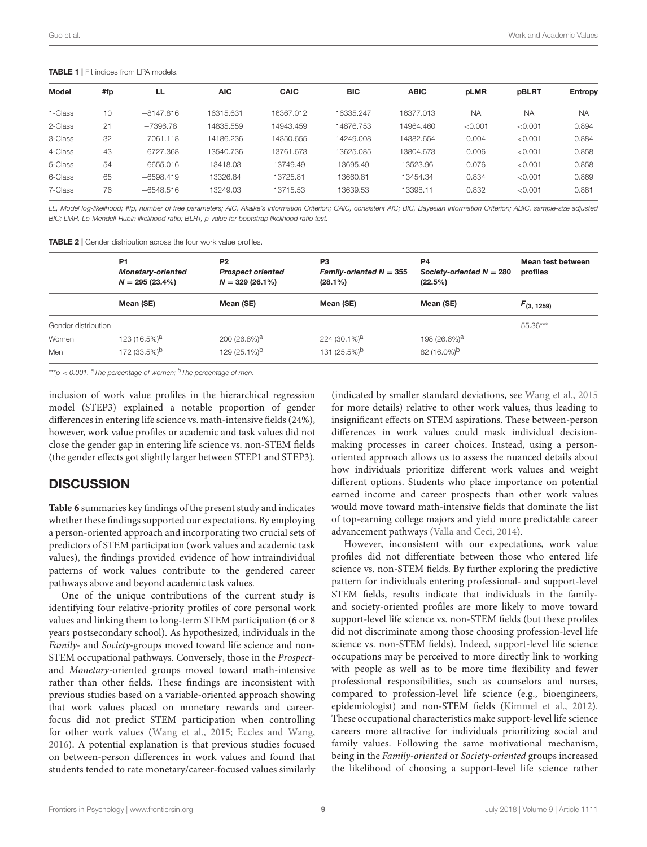#### <span id="page-8-0"></span>TABLE 1 | Fit indices from LPA models.

| Model   | #fp | LL          | <b>AIC</b> | <b>CAIC</b> | <b>BIC</b> | <b>ABIC</b> | pLMR      | pBLRT     | Entropy   |
|---------|-----|-------------|------------|-------------|------------|-------------|-----------|-----------|-----------|
| 1-Class | 10  | $-8147.816$ | 16315.631  | 16367.012   | 16335.247  | 16377.013   | <b>NA</b> | <b>NA</b> | <b>NA</b> |
| 2-Class | 21  | $-7396.78$  | 14835.559  | 14943.459   | 14876.753  | 14964.460   | < 0.001   | < 0.001   | 0.894     |
| 3-Class | 32  | $-7061.118$ | 14186.236  | 14350.655   | 14249.008  | 14382.654   | 0.004     | < 0.001   | 0.884     |
| 4-Class | 43  | $-6727.368$ | 13540.736  | 13761.673   | 13625.085  | 13804.673   | 0.006     | < 0.001   | 0.858     |
| 5-Class | 54  | $-6655.016$ | 13418.03   | 13749.49    | 13695.49   | 13523.96    | 0.076     | < 0.001   | 0.858     |
| 6-Class | 65  | $-6598.419$ | 13326.84   | 13725.81    | 13660.81   | 13454.34    | 0.834     | < 0.001   | 0.869     |
| 7-Class | 76  | $-6548.516$ | 13249.03   | 13715.53    | 13639.53   | 13398.11    | 0.832     | < 0.001   | 0.881     |

LL, Model log-likelihood; #fp, number of free parameters; AIC, Akaike's Information Criterion; CAIC, consistent AIC; BIC, Bayesian Information Criterion; ABIC, sample-size adjusted BIC; LMR, Lo-Mendell-Rubin likelihood ratio; BLRT, p-value for bootstrap likelihood ratio test.

<span id="page-8-1"></span>

| <b>TABLE 2</b>   Gender distribution across the four work value profiles. |  |  |  |  |
|---------------------------------------------------------------------------|--|--|--|--|
|---------------------------------------------------------------------------|--|--|--|--|

|                     | P <sub>1</sub><br><b>Monetary-oriented</b><br>$N = 295(23.4\%)$ | P <sub>2</sub><br><b>Prospect oriented</b><br>$N = 329(26.1\%)$ | P <sub>3</sub><br>Family-oriented $N = 355$<br>$(28.1\%)$ | P4<br>Society-oriented $N = 280$<br>(22.5%) | Mean test between<br>profiles |
|---------------------|-----------------------------------------------------------------|-----------------------------------------------------------------|-----------------------------------------------------------|---------------------------------------------|-------------------------------|
|                     | Mean (SE)                                                       | Mean (SE)                                                       | Mean (SE)                                                 | Mean (SE)                                   | $F_{(3, 1259)}$               |
| Gender distribution |                                                                 |                                                                 |                                                           |                                             | 55.36***                      |
| Women               | 123 (16.5%) <sup>a</sup>                                        | 200 (26.8%) <sup>a</sup>                                        | 224 (30.1%) <sup>a</sup>                                  | 198 (26.6%) <sup>a</sup>                    |                               |
| Men                 | 172 (33.5%) <sup>b</sup>                                        | 129 (25.1%) <sup>b</sup>                                        | 131 (25.5%) <sup>b</sup>                                  | 82 (16.0%) <sup>b</sup>                     |                               |

\*\*\*p  $<$  0.001. <sup>a</sup>The percentage of women; <sup>b</sup>The percentage of men.

inclusion of work value profiles in the hierarchical regression model (STEP3) explained a notable proportion of gender differences in entering life science vs. math-intensive fields (24%), however, work value profiles or academic and task values did not close the gender gap in entering life science vs. non-STEM fields (the gender effects got slightly larger between STEP1 and STEP3).

### **DISCUSSION**

**[Table 6](#page-12-0)** summaries key findings of the present study and indicates whether these findings supported our expectations. By employing a person-oriented approach and incorporating two crucial sets of predictors of STEM participation (work values and academic task values), the findings provided evidence of how intraindividual patterns of work values contribute to the gendered career pathways above and beyond academic task values.

One of the unique contributions of the current study is identifying four relative-priority profiles of core personal work values and linking them to long-term STEM participation (6 or 8 years postsecondary school). As hypothesized, individuals in the Family- and Society-groups moved toward life science and non-STEM occupational pathways. Conversely, those in the Prospectand Monetary-oriented groups moved toward math-intensive rather than other fields. These findings are inconsistent with previous studies based on a variable-oriented approach showing that work values placed on monetary rewards and careerfocus did not predict STEM participation when controlling for other work values [\(Wang et al., 2015;](#page-14-6) [Eccles and Wang,](#page-13-4) [2016\)](#page-13-4). A potential explanation is that previous studies focused on between-person differences in work values and found that students tended to rate monetary/career-focused values similarly (indicated by smaller standard deviations, see [Wang et al., 2015](#page-14-6) for more details) relative to other work values, thus leading to insignificant effects on STEM aspirations. These between-person differences in work values could mask individual decisionmaking processes in career choices. Instead, using a personoriented approach allows us to assess the nuanced details about how individuals prioritize different work values and weight different options. Students who place importance on potential earned income and career prospects than other work values would move toward math-intensive fields that dominate the list of top-earning college majors and yield more predictable career advancement pathways [\(Valla and Ceci, 2014\)](#page-14-0).

However, inconsistent with our expectations, work value profiles did not differentiate between those who entered life science vs. non-STEM fields. By further exploring the predictive pattern for individuals entering professional- and support-level STEM fields, results indicate that individuals in the familyand society-oriented profiles are more likely to move toward support-level life science vs. non-STEM fields (but these profiles did not discriminate among those choosing profession-level life science vs. non-STEM fields). Indeed, support-level life science occupations may be perceived to more directly link to working with people as well as to be more time flexibility and fewer professional responsibilities, such as counselors and nurses, compared to profession-level life science (e.g., bioengineers, epidemiologist) and non-STEM fields [\(Kimmel et al., 2012\)](#page-13-37). These occupational characteristics make support-level life science careers more attractive for individuals prioritizing social and family values. Following the same motivational mechanism, being in the Family-oriented or Society-oriented groups increased the likelihood of choosing a support-level life science rather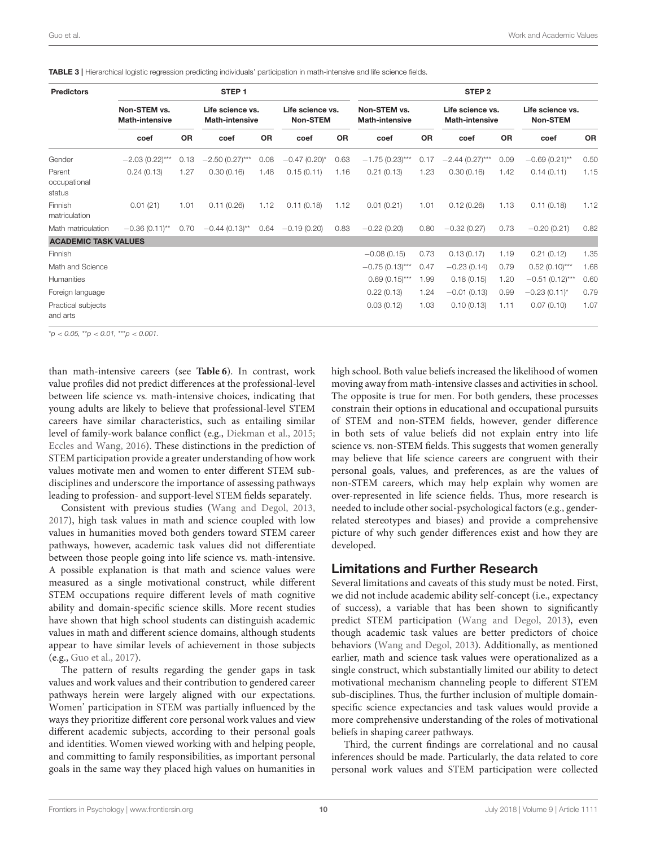<span id="page-9-0"></span>TABLE 3 | Hierarchical logistic regression predicting individuals' participation in math-intensive and life science fields.

| <b>Predictors</b>                |                                       |           | STEP <sub>1</sub>                         |           |                              |           | STEP <sub>2</sub>                     |           |                                           |           |                                     |           |
|----------------------------------|---------------------------------------|-----------|-------------------------------------------|-----------|------------------------------|-----------|---------------------------------------|-----------|-------------------------------------------|-----------|-------------------------------------|-----------|
|                                  | Non-STEM vs.<br><b>Math-intensive</b> |           | Life science vs.<br><b>Math-intensive</b> |           | Life science vs.<br>Non-STEM |           | Non-STEM vs.<br><b>Math-intensive</b> |           | Life science vs.<br><b>Math-intensive</b> |           | Life science vs.<br><b>Non-STEM</b> |           |
|                                  | coef                                  | <b>OR</b> | coef                                      | <b>OR</b> | coef                         | <b>OR</b> | coef                                  | <b>OR</b> | coef                                      | <b>OR</b> | coef                                | <b>OR</b> |
| Gender                           | $-2.03(0.22)***$                      | 0.13      | $-2.50(0.27)$ ***                         | 0.08      | $-0.47(0.20)$ *              | 0.63      | $-1.75(0.23)***$                      | 0.17      | $-2.44(0.27)$ ***                         | 0.09      | $-0.69(0.21)$ **                    | 0.50      |
| Parent<br>occupational<br>status | 0.24(0.13)                            | 1.27      | 0.30(0.16)                                | 1.48      | 0.15(0.11)                   | 1.16      | 0.21(0.13)                            | 1.23      | 0.30(0.16)                                | 1.42      | 0.14(0.11)                          | 1.15      |
| Finnish<br>matriculation         | 0.01(21)                              | 1.01      | 0.11(0.26)                                | 1.12      | 0.11(0.18)                   | 1.12      | 0.01(0.21)                            | 1.01      | 0.12(0.26)                                | 1.13      | 0.11(0.18)                          | 1.12      |
| Math matriculation               | $-0.36(0.11)$ **                      | 0.70      | $-0.44(0.13)$ **                          | 0.64      | $-0.19(0.20)$                | 0.83      | $-0.22(0.20)$                         | 0.80      | $-0.32(0.27)$                             | 0.73      | $-0.20(0.21)$                       | 0.82      |
| <b>ACADEMIC TASK VALUES</b>      |                                       |           |                                           |           |                              |           |                                       |           |                                           |           |                                     |           |
| Finnish                          |                                       |           |                                           |           |                              |           | $-0.08(0.15)$                         | 0.73      | 0.13(0.17)                                | 1.19      | 0.21(0.12)                          | 1.35      |
| Math and Science                 |                                       |           |                                           |           |                              |           | $-0.75(0.13)$ ***                     | 0.47      | $-0.23(0.14)$                             | 0.79      | $0.52(0.10)$ ***                    | 1.68      |
| <b>Humanities</b>                |                                       |           |                                           |           |                              |           | $0.69(0.15)***$                       | 1.99      | 0.18(0.15)                                | 1.20      | $-0.51(0.12)$ ***                   | 0.60      |
| Foreign language                 |                                       |           |                                           |           |                              |           | 0.22(0.13)                            | 1.24      | $-0.01(0.13)$                             | 0.99      | $-0.23(0.11)^{*}$                   | 0.79      |
| Practical subjects<br>and arts   |                                       |           |                                           |           |                              |           | 0.03(0.12)                            | 1.03      | 0.10(0.13)                                | 1.11      | 0.07(0.10)                          | 1.07      |

 $*p < 0.05$ ,  $*p < 0.01$ ,  $**p < 0.001$ .

than math-intensive careers (see **[Table 6](#page-12-0)**). In contrast, work value profiles did not predict differences at the professional-level between life science vs. math-intensive choices, indicating that young adults are likely to believe that professional-level STEM careers have similar characteristics, such as entailing similar level of family-work balance conflict (e.g., [Diekman et al., 2015;](#page-13-5) [Eccles and Wang, 2016\)](#page-13-4). These distinctions in the prediction of STEM participation provide a greater understanding of how work values motivate men and women to enter different STEM subdisciplines and underscore the importance of assessing pathways leading to profession- and support-level STEM fields separately.

Consistent with previous studies [\(Wang and Degol, 2013,](#page-14-4) [2017\)](#page-14-3), high task values in math and science coupled with low values in humanities moved both genders toward STEM career pathways, however, academic task values did not differentiate between those people going into life science vs. math-intensive. A possible explanation is that math and science values were measured as a single motivational construct, while different STEM occupations require different levels of math cognitive ability and domain-specific science skills. More recent studies have shown that high school students can distinguish academic values in math and different science domains, although students appear to have similar levels of achievement in those subjects (e.g., [Guo et al., 2017\)](#page-13-38).

The pattern of results regarding the gender gaps in task values and work values and their contribution to gendered career pathways herein were largely aligned with our expectations. Women' participation in STEM was partially influenced by the ways they prioritize different core personal work values and view different academic subjects, according to their personal goals and identities. Women viewed working with and helping people, and committing to family responsibilities, as important personal goals in the same way they placed high values on humanities in high school. Both value beliefs increased the likelihood of women moving away from math-intensive classes and activities in school. The opposite is true for men. For both genders, these processes constrain their options in educational and occupational pursuits of STEM and non-STEM fields, however, gender difference in both sets of value beliefs did not explain entry into life science vs. non-STEM fields. This suggests that women generally may believe that life science careers are congruent with their personal goals, values, and preferences, as are the values of non-STEM careers, which may help explain why women are over-represented in life science fields. Thus, more research is needed to include other social-psychological factors (e.g., genderrelated stereotypes and biases) and provide a comprehensive picture of why such gender differences exist and how they are developed.

## Limitations and Further Research

Several limitations and caveats of this study must be noted. First, we did not include academic ability self-concept (i.e., expectancy of success), a variable that has been shown to significantly predict STEM participation [\(Wang and Degol, 2013\)](#page-14-4), even though academic task values are better predictors of choice behaviors [\(Wang and Degol, 2013\)](#page-14-4). Additionally, as mentioned earlier, math and science task values were operationalized as a single construct, which substantially limited our ability to detect motivational mechanism channeling people to different STEM sub-disciplines. Thus, the further inclusion of multiple domainspecific science expectancies and task values would provide a more comprehensive understanding of the roles of motivational beliefs in shaping career pathways.

Third, the current findings are correlational and no causal inferences should be made. Particularly, the data related to core personal work values and STEM participation were collected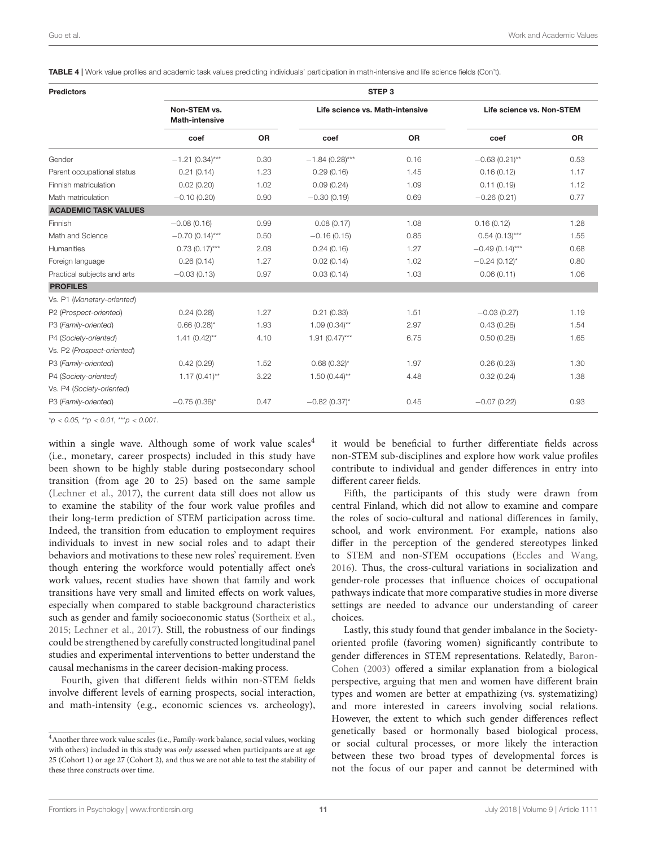<span id="page-10-0"></span>TABLE 4 | Work value profiles and academic task values predicting individuals' participation in math-intensive and life science fields (Con't).

| <b>Predictors</b>           | STEP <sub>3</sub>                     |           |                                 |           |                           |           |  |  |  |  |
|-----------------------------|---------------------------------------|-----------|---------------------------------|-----------|---------------------------|-----------|--|--|--|--|
|                             | Non-STEM vs.<br><b>Math-intensive</b> |           | Life science vs. Math-intensive |           | Life science vs. Non-STEM |           |  |  |  |  |
|                             | coef                                  | <b>OR</b> | coef                            | <b>OR</b> | coef                      | <b>OR</b> |  |  |  |  |
| Gender                      | $-1.21(0.34)***$                      | 0.30      | $-1.84(0.28)***$                | 0.16      | $-0.63(0.21)$ **          | 0.53      |  |  |  |  |
| Parent occupational status  | 0.21(0.14)                            | 1.23      | 0.29(0.16)                      | 1.45      | 0.16(0.12)                | 1.17      |  |  |  |  |
| Finnish matriculation       | 0.02(0.20)                            | 1.02      | 0.09(0.24)                      | 1.09      | 0.11(0.19)                | 1.12      |  |  |  |  |
| Math matriculation          | $-0.10(0.20)$                         | 0.90      | $-0.30(0.19)$                   | 0.69      | $-0.26(0.21)$             | 0.77      |  |  |  |  |
| <b>ACADEMIC TASK VALUES</b> |                                       |           |                                 |           |                           |           |  |  |  |  |
| Finnish                     | $-0.08(0.16)$                         | 0.99      | 0.08(0.17)                      | 1.08      | 0.16(0.12)                | 1.28      |  |  |  |  |
| Math and Science            | $-0.70(0.14)$ ***                     | 0.50      | $-0.16(0.15)$                   | 0.85      | $0.54(0.13)***$           | 1.55      |  |  |  |  |
| Humanities                  | $0.73(0.17***$                        | 2.08      | 0.24(0.16)                      | 1.27      | $-0.49(0.14)$ ***         | 0.68      |  |  |  |  |
| Foreign language            | 0.26(0.14)                            | 1.27      | 0.02(0.14)                      | 1.02      | $-0.24(0.12)^{*}$         | 0.80      |  |  |  |  |
| Practical subjects and arts | $-0.03(0.13)$                         | 0.97      | 0.03(0.14)                      | 1.03      | 0.06(0.11)                | 1.06      |  |  |  |  |
| <b>PROFILES</b>             |                                       |           |                                 |           |                           |           |  |  |  |  |
| Vs. P1 (Monetary-oriented)  |                                       |           |                                 |           |                           |           |  |  |  |  |
| P2 (Prospect-oriented)      | 0.24(0.28)                            | 1.27      | 0.21(0.33)                      | 1.51      | $-0.03(0.27)$             | 1.19      |  |  |  |  |
| P3 (Family-oriented)        | $0.66(0.28)$ *                        | 1.93      | $1.09(0.34)$ **                 | 2.97      | 0.43(0.26)                | 1.54      |  |  |  |  |
| P4 (Society-oriented)       | $1.41(0.42)$ **                       | 4.10      | $1.91(0.47)$ ***                | 6.75      | 0.50(0.28)                | 1.65      |  |  |  |  |
| Vs. P2 (Prospect-oriented)  |                                       |           |                                 |           |                           |           |  |  |  |  |
| P3 (Family-oriented)        | 0.42(0.29)                            | 1.52      | $0.68(0.32)^{*}$                | 1.97      | 0.26(0.23)                | 1.30      |  |  |  |  |
| P4 (Society-oriented)       | $1.17(0.41)$ **                       | 3.22      | $1.50(0.44)$ **                 | 4.48      | 0.32(0.24)                | 1.38      |  |  |  |  |
| Vs. P4 (Society-oriented)   |                                       |           |                                 |           |                           |           |  |  |  |  |
| P3 (Family-oriented)        | $-0.75(0.36)$ *                       | 0.47      | $-0.82(0.37)$ *                 | 0.45      | $-0.07(0.22)$             | 0.93      |  |  |  |  |

 $*p < 0.05$ ,  $*p < 0.01$ ,  $**p < 0.001$ .

within a single wave. Although some of work value  $s$ cales<sup>[4](#page-10-1)</sup> (i.e., monetary, career prospects) included in this study have been shown to be highly stable during postsecondary school transition (from age 20 to 25) based on the same sample [\(Lechner et al., 2017\)](#page-13-22), the current data still does not allow us to examine the stability of the four work value profiles and their long-term prediction of STEM participation across time. Indeed, the transition from education to employment requires individuals to invest in new social roles and to adapt their behaviors and motivations to these new roles' requirement. Even though entering the workforce would potentially affect one's work values, recent studies have shown that family and work transitions have very small and limited effects on work values, especially when compared to stable background characteristics such as gender and family socioeconomic status [\(Sortheix et al.,](#page-14-18) [2015;](#page-14-18) [Lechner et al., 2017\)](#page-13-22). Still, the robustness of our findings could be strengthened by carefully constructed longitudinal panel studies and experimental interventions to better understand the causal mechanisms in the career decision-making process.

Fourth, given that different fields within non-STEM fields involve different levels of earning prospects, social interaction, and math-intensity (e.g., economic sciences vs. archeology), it would be beneficial to further differentiate fields across non-STEM sub-disciplines and explore how work value profiles contribute to individual and gender differences in entry into different career fields.

Fifth, the participants of this study were drawn from central Finland, which did not allow to examine and compare the roles of socio-cultural and national differences in family, school, and work environment. For example, nations also differ in the perception of the gendered stereotypes linked to STEM and non-STEM occupations [\(Eccles and Wang,](#page-13-4) [2016\)](#page-13-4). Thus, the cross-cultural variations in socialization and gender-role processes that influence choices of occupational pathways indicate that more comparative studies in more diverse settings are needed to advance our understanding of career choices.

Lastly, this study found that gender imbalance in the Societyoriented profile (favoring women) significantly contribute to gende[r differences in STEM representations. Relatedly,](#page-13-39) Baron-Cohen [\(2003\)](#page-13-39) offered a similar explanation from a biological perspective, arguing that men and women have different brain types and women are better at empathizing (vs. systematizing) and more interested in careers involving social relations. However, the extent to which such gender differences reflect genetically based or hormonally based biological process, or social cultural processes, or more likely the interaction between these two broad types of developmental forces is not the focus of our paper and cannot be determined with

<span id="page-10-1"></span><sup>4</sup>Another three work value scales (i.e., Family-work balance, social values, working with others) included in this study was only assessed when participants are at age 25 (Cohort 1) or age 27 (Cohort 2), and thus we are not able to test the stability of these three constructs over time.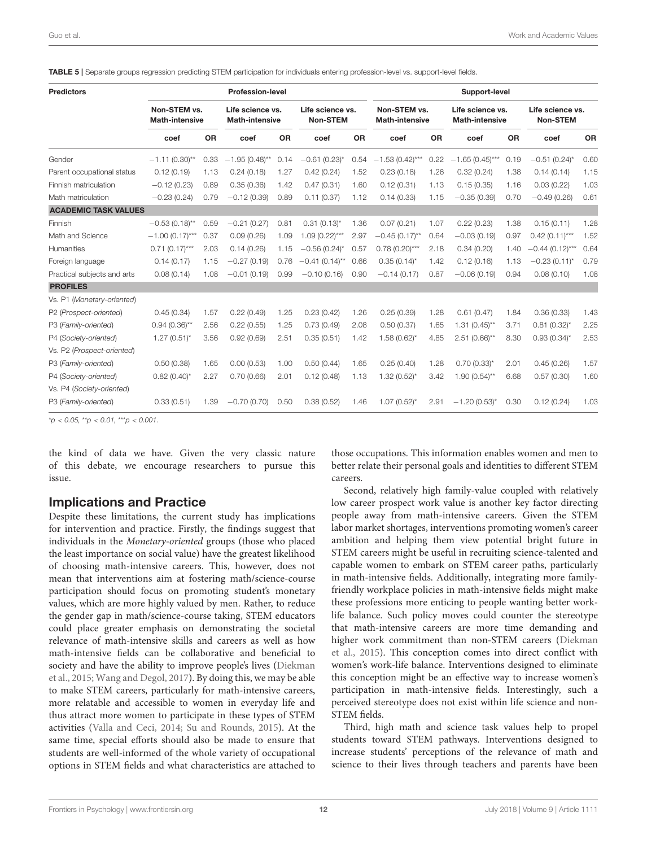<span id="page-11-0"></span>TABLE 5 | Separate groups regression predicting STEM participation for individuals entering profession-level vs. support-level fields.

| <b>Predictors</b>           |                                       |           | <b>Profession-level</b>                   |           |                              |           |                                       |           | Support-level                             |           |                              |           |
|-----------------------------|---------------------------------------|-----------|-------------------------------------------|-----------|------------------------------|-----------|---------------------------------------|-----------|-------------------------------------------|-----------|------------------------------|-----------|
|                             | Non-STEM vs.<br><b>Math-intensive</b> |           | Life science vs.<br><b>Math-intensive</b> |           | Life science vs.<br>Non-STEM |           | Non-STEM vs.<br><b>Math-intensive</b> |           | Life science vs.<br><b>Math-intensive</b> |           | Life science vs.<br>Non-STEM |           |
|                             | coef                                  | <b>OR</b> | coef                                      | <b>OR</b> | coef                         | <b>OR</b> | coef                                  | <b>OR</b> | coef                                      | <b>OR</b> | coef                         | <b>OR</b> |
| Gender                      | $-1.11(0.30)$ **                      | 0.33      | $-1.95(0.48)$ **                          | 0.14      | $-0.61(0.23)$ *              | 0.54      | $-1.53(0.42)$ ***                     | 0.22      | $-1.65(0.45)$ ***                         | 0.19      | $-0.51(0.24)$ *              | 0.60      |
| Parent occupational status  | 0.12(0.19)                            | 1.13      | 0.24(0.18)                                | 1.27      | 0.42(0.24)                   | 1.52      | 0.23(0.18)                            | 1.26      | 0.32(0.24)                                | 1.38      | 0.14(0.14)                   | 1.15      |
| Finnish matriculation       | $-0.12(0.23)$                         | 0.89      | 0.35(0.36)                                | 1.42      | 0.47(0.31)                   | 1.60      | 0.12(0.31)                            | 1.13      | 0.15(0.35)                                | 1.16      | 0.03(0.22)                   | 1.03      |
| Math matriculation          | $-0.23(0.24)$                         | 0.79      | $-0.12(0.39)$                             | 0.89      | 0.11(0.37)                   | 1.12      | 0.14(0.33)                            | 1.15      | $-0.35(0.39)$                             | 0.70      | $-0.49(0.26)$                | 0.61      |
| <b>ACADEMIC TASK VALUES</b> |                                       |           |                                           |           |                              |           |                                       |           |                                           |           |                              |           |
| Finnish                     | $-0.53(0.18)$ **                      | 0.59      | $-0.21(0.27)$                             | 0.81      | $0.31(0.13)^{*}$             | 1.36      | 0.07(0.21)                            | 1.07      | 0.22(0.23)                                | 1.38      | 0.15(0.11)                   | 1.28      |
| Math and Science            | $-1.00(0.17)$ ***                     | 0.37      | 0.09(0.26)                                | 1.09      | $1.09(0.22)***$              | 2.97      | $-0.45(0.17)$ **                      | 0.64      | $-0.03(0.19)$                             | 0.97      | $0.42(0.11)***$              | 1.52      |
| <b>Humanities</b>           | $0.71(0.17)$ ***                      | 2.03      | 0.14(0.26)                                | 1.15      | $-0.56(0.24)$ *              | 0.57      | $0.78(0.20)$ ***                      | 2.18      | 0.34(0.20)                                | 1.40      | $-0.44(0.12)$ ***            | 0.64      |
| Foreign language            | 0.14(0.17)                            | 1.15      | $-0.27(0.19)$                             | 0.76      | $-0.41(0.14)$ **             | 0.66      | $0.35(0.14)^{*}$                      | 1.42      | 0.12(0.16)                                | 1.13      | $-0.23(0.11)^{*}$            | 0.79      |
| Practical subjects and arts | 0.08(0.14)                            | 1.08      | $-0.01(0.19)$                             | 0.99      | $-0.10(0.16)$                | 0.90      | $-0.14(0.17)$                         | 0.87      | $-0.06(0.19)$                             | 0.94      | 0.08(0.10)                   | 1.08      |
| <b>PROFILES</b>             |                                       |           |                                           |           |                              |           |                                       |           |                                           |           |                              |           |
| Vs. P1 (Monetary-oriented)  |                                       |           |                                           |           |                              |           |                                       |           |                                           |           |                              |           |
| P2 (Prospect-oriented)      | 0.45(0.34)                            | 1.57      | 0.22(0.49)                                | 1.25      | 0.23(0.42)                   | 1.26      | 0.25(0.39)                            | 1.28      | 0.61(0.47)                                | 1.84      | 0.36(0.33)                   | 1.43      |
| P3 (Family-oriented)        | $0.94(0.36)$ **                       | 2.56      | 0.22(0.55)                                | 1.25      | 0.73(0.49)                   | 2.08      | 0.50(0.37)                            | 1.65      | $1.31(0.45)$ **                           | 3.71      | $0.81(0.32)^{*}$             | 2.25      |
| P4 (Society-oriented)       | $1.27(0.51)$ *                        | 3.56      | 0.92(0.69)                                | 2.51      | 0.35(0.51)                   | 1.42      | $1.58(0.62)$ *                        | 4.85      | $2.51(0.66)$ **                           | 8.30      | $0.93(0.34)$ *               | 2.53      |
| Vs. P2 (Prospect-oriented)  |                                       |           |                                           |           |                              |           |                                       |           |                                           |           |                              |           |
| P3 (Family-oriented)        | 0.50(0.38)                            | 1.65      | 0.00(0.53)                                | 1.00      | 0.50(0.44)                   | 1.65      | 0.25(0.40)                            | 1.28      | $0.70(0.33)$ *                            | 2.01      | 0.45(0.26)                   | 1.57      |
| P4 (Society-oriented)       | $0.82(0.40)$ *                        | 2.27      | 0.70(0.66)                                | 2.01      | 0.12(0.48)                   | 1.13      | $1.32(0.52)^{*}$                      | 3.42      | $1.90(0.54)$ **                           | 6.68      | 0.57(0.30)                   | 1.60      |
| Vs. P4 (Society-oriented)   |                                       |           |                                           |           |                              |           |                                       |           |                                           |           |                              |           |
| P3 (Family-oriented)        | 0.33(0.51)                            | 1.39      | $-0.70(0.70)$                             | 0.50      | 0.38(0.52)                   | 1.46      | $1.07(0.52)$ *                        | 2.91      | $-1.20(0.53)$ *                           | 0.30      | 0.12(0.24)                   | 1.03      |

 $*p < 0.05$ ,  $*p < 0.01$ ,  $**p < 0.001$ .

the kind of data we have. Given the very classic nature of this debate, we encourage researchers to pursue this issue.

### Implications and Practice

Despite these limitations, the current study has implications for intervention and practice. Firstly, the findings suggest that individuals in the Monetary-oriented groups (those who placed the least importance on social value) have the greatest likelihood of choosing math-intensive careers. This, however, does not mean that interventions aim at fostering math/science-course participation should focus on promoting student's monetary values, which are more highly valued by men. Rather, to reduce the gender gap in math/science-course taking, STEM educators could place greater emphasis on demonstrating the societal relevance of math-intensive skills and careers as well as how math-intensive fields can be collaborative and beneficial to society and have the ability to improve people's lives (Diekman et al., [2015;](#page-13-5) [Wang and Degol, 2017\)](#page-14-3). By doing this, we may be able to make STEM careers, particularly for math-intensive careers, more relatable and accessible to women in everyday life and thus attract more women to participate in these types of STEM activities [\(Valla and Ceci, 2014;](#page-14-0) [Su and Rounds, 2015\)](#page-14-8). At the same time, special efforts should also be made to ensure that students are well-informed of the whole variety of occupational options in STEM fields and what characteristics are attached to

those occupations. This information enables women and men to better relate their personal goals and identities to different STEM careers.

Second, relatively high family-value coupled with relatively low career prospect work value is another key factor directing people away from math-intensive careers. Given the STEM labor market shortages, interventions promoting women's career ambition and helping them view potential bright future in STEM careers might be useful in recruiting science-talented and capable women to embark on STEM career paths, particularly in math-intensive fields. Additionally, integrating more familyfriendly workplace policies in math-intensive fields might make these professions more enticing to people wanting better worklife balance. Such policy moves could counter the stereotype that math-intensive careers are more time demanding and higher work commitment than non-STEM careers (Diekman et al., [2015\)](#page-13-5). This conception comes into direct conflict with women's work-life balance. Interventions designed to eliminate this conception might be an effective way to increase women's participation in math-intensive fields. Interestingly, such a perceived stereotype does not exist within life science and non-STEM fields.

Third, high math and science task values help to propel students toward STEM pathways. Interventions designed to increase students' perceptions of the relevance of math and science to their lives through teachers and parents have been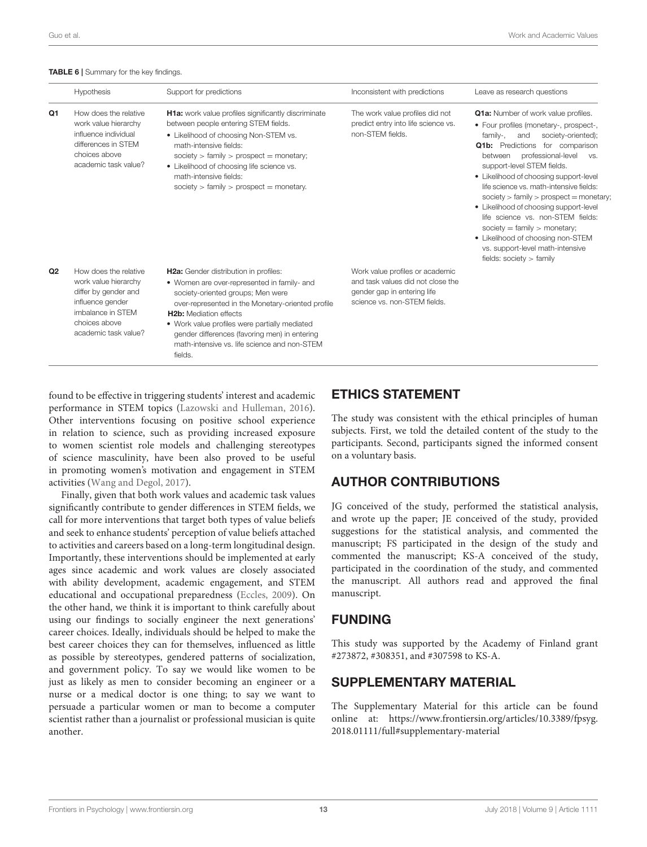#### <span id="page-12-0"></span>TABLE 6 | Summary for the key findings.

|                | Hypothesis                                                                                                                                              | Support for predictions                                                                                                                                                                                                                                                                                                                                                      | Inconsistent with predictions                                                                                                       | Leave as research questions                                                                                                                                                                                                                                                                                                                                                                                                                                                                                                                                                                             |  |  |
|----------------|---------------------------------------------------------------------------------------------------------------------------------------------------------|------------------------------------------------------------------------------------------------------------------------------------------------------------------------------------------------------------------------------------------------------------------------------------------------------------------------------------------------------------------------------|-------------------------------------------------------------------------------------------------------------------------------------|---------------------------------------------------------------------------------------------------------------------------------------------------------------------------------------------------------------------------------------------------------------------------------------------------------------------------------------------------------------------------------------------------------------------------------------------------------------------------------------------------------------------------------------------------------------------------------------------------------|--|--|
| Q1             | How does the relative<br>work value hierarchy<br>influence individual<br>differences in STEM<br>choices above<br>academic task value?                   | <b>H1a:</b> work value profiles significantly discriminate<br>between people entering STEM fields.<br>• Likelihood of choosing Non-STEM vs.<br>math-intensive fields:<br>society $>$ family $>$ prospect $=$ monetary;<br>• Likelihood of choosing life science vs.<br>math-intensive fields:<br>society $>$ family $>$ prospect $=$ monetary.                               | The work value profiles did not<br>predict entry into life science vs.<br>non-STEM fields.                                          | <b>Q1a:</b> Number of work value profiles.<br>• Four profiles (monetary-, prospect-,<br>society-oriented);<br>family-.<br>and<br><b>Q1b:</b> Predictions<br>for comparison<br>professional-level<br>between<br>VS.<br>support-level STEM fields.<br>• Likelihood of choosing support-level<br>life science vs. math-intensive fields:<br>$society > family > prospect = monetary$<br>• Likelihood of choosing support-level<br>life science vs. non-STEM fields:<br>society = family > monetary;<br>• Likelihood of choosing non-STEM<br>vs. support-level math-intensive<br>fields: society $>$ family |  |  |
| Q <sub>2</sub> | How does the relative<br>work value hierarchy<br>differ by gender and<br>influence gender<br>imbalance in STEM<br>choices above<br>academic task value? | H2a: Gender distribution in profiles:<br>• Women are over-represented in family- and<br>society-oriented groups; Men were<br>over-represented in the Monetary-oriented profile<br><b>H2b:</b> Mediation effects<br>• Work value profiles were partially mediated<br>gender differences (favoring men) in entering<br>math-intensive vs. life science and non-STEM<br>fields. | Work value profiles or academic<br>and task values did not close the<br>gender gap in entering life<br>science vs. non-STEM fields. |                                                                                                                                                                                                                                                                                                                                                                                                                                                                                                                                                                                                         |  |  |

found to be effective in triggering students' interest and academic performance in STEM topics [\(Lazowski and Hulleman, 2016\)](#page-13-40). Other interventions focusing on positive school experience in relation to science, such as providing increased exposure to women scientist role models and challenging stereotypes of science masculinity, have been also proved to be useful in promoting women's motivation and engagement in STEM activities [\(Wang and Degol, 2017\)](#page-14-3).

Finally, given that both work values and academic task values significantly contribute to gender differences in STEM fields, we call for more interventions that target both types of value beliefs and seek to enhance students' perception of value beliefs attached to activities and careers based on a long-term longitudinal design. Importantly, these interventions should be implemented at early ages since academic and work values are closely associated with ability development, academic engagement, and STEM educational and occupational preparedness [\(Eccles, 2009\)](#page-13-0). On the other hand, we think it is important to think carefully about using our findings to socially engineer the next generations' career choices. Ideally, individuals should be helped to make the best career choices they can for themselves, influenced as little as possible by stereotypes, gendered patterns of socialization, and government policy. To say we would like women to be just as likely as men to consider becoming an engineer or a nurse or a medical doctor is one thing; to say we want to persuade a particular women or man to become a computer scientist rather than a journalist or professional musician is quite another.

## ETHICS STATEMENT

The study was consistent with the ethical principles of human subjects. First, we told the detailed content of the study to the participants. Second, participants signed the informed consent on a voluntary basis.

## AUTHOR CONTRIBUTIONS

JG conceived of the study, performed the statistical analysis, and wrote up the paper; JE conceived of the study, provided suggestions for the statistical analysis, and commented the manuscript; FS participated in the design of the study and commented the manuscript; KS-A conceived of the study, participated in the coordination of the study, and commented the manuscript. All authors read and approved the final manuscript.

### FUNDING

This study was supported by the Academy of Finland grant #273872, #308351, and #307598 to KS-A.

### SUPPLEMENTARY MATERIAL

The Supplementary Material for this article can be found [online at: https://www.frontiersin.org/articles/10.3389/fpsyg.](https://www.frontiersin.org/articles/10.3389/fpsyg.2018.01111/full#supplementary-material) 2018.01111/full#supplementary-material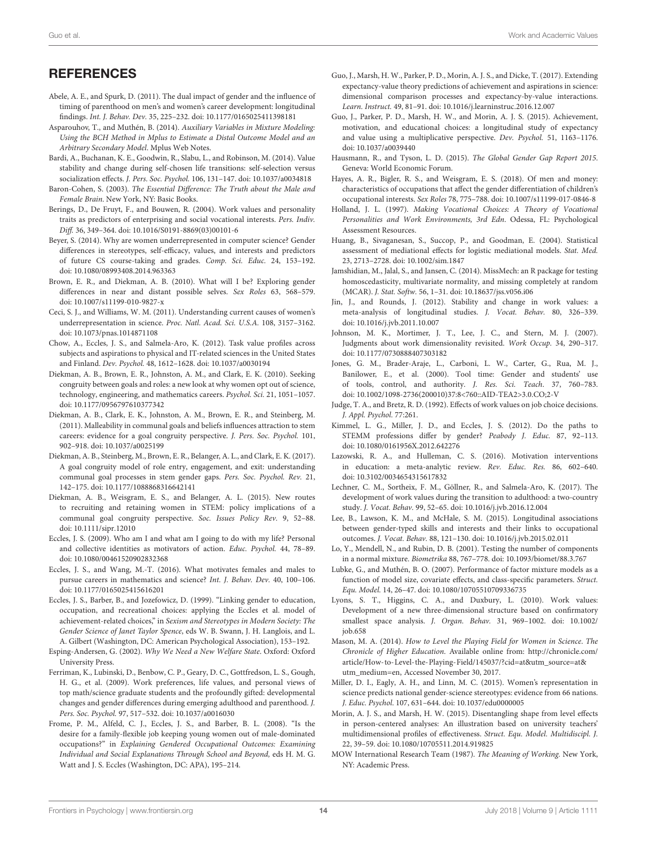## **REFERENCES**

- <span id="page-13-14"></span>Abele, A. E., and Spurk, D. (2011). The dual impact of gender and the influence of timing of parenthood on men's and women's career development: longitudinal findings. Int. J. Behav. Dev. 35, 225–232. doi: [10.1177/0165025411398181](https://doi.org/10.1177/0165025411398181)
- <span id="page-13-36"></span>Asparouhov, T., and Muthén, B. (2014). Auxiliary Variables in Mixture Modeling: Using the BCH Method in Mplus to Estimate a Distal Outcome Model and an Arbitrary Secondary Model. Mplus Web Notes.
- <span id="page-13-23"></span>Bardi, A., Buchanan, K. E., Goodwin, R., Slabu, L., and Robinson, M. (2014). Value stability and change during self-chosen life transitions: self-selection versus socialization effects. J. Pers. Soc. Psychol. 106, 131–147. doi: [10.1037/a0034818](https://doi.org/10.1037/a0034818)
- <span id="page-13-39"></span>Baron-Cohen, S. (2003). The Essential Difference: The Truth about the Male and Female Brain. New York, NY: Basic Books.
- <span id="page-13-3"></span>Berings, D., De Fruyt, F., and Bouwen, R. (2004). Work values and personality traits as predictors of enterprising and social vocational interests. Pers. Indiv. Diff. 36, 349–364. doi: [10.1016/S0191-8869\(03\)00101-6](https://doi.org/10.1016/S0191-8869(03)00101-6)
- <span id="page-13-20"></span>Beyer, S. (2014). Why are women underrepresented in computer science? Gender differences in stereotypes, self-efficacy, values, and interests and predictors of future CS course-taking and grades. Comp. Sci. Educ. 24, 153–192. doi: [10.1080/08993408.2014.963363](https://doi.org/10.1080/08993408.2014.963363)
- <span id="page-13-10"></span>Brown, E. R., and Diekman, A. B. (2010). What will I be? Exploring gender differences in near and distant possible selves. Sex Roles 63, 568–579. doi: [10.1007/s11199-010-9827-x](https://doi.org/10.1007/s11199-010-9827-x)
- <span id="page-13-19"></span>Ceci, S. J., and Williams, W. M. (2011). Understanding current causes of women's underrepresentation in science. Proc. Natl. Acad. Sci. U.S.A. 108, 3157–3162. doi: [10.1073/pnas.1014871108](https://doi.org/10.1073/pnas.1014871108)
- <span id="page-13-25"></span>Chow, A., Eccles, J. S., and Salmela-Aro, K. (2012). Task value profiles across subjects and aspirations to physical and IT-related sciences in the United States and Finland. Dev. Psychol. 48, 1612–1628. doi: [10.1037/a0030194](https://doi.org/10.1037/a0030194)
- <span id="page-13-9"></span>Diekman, A. B., Brown, E. R., Johnston, A. M., and Clark, E. K. (2010). Seeking congruity between goals and roles: a new look at why women opt out of science, technology, engineering, and mathematics careers. Psychol. Sci. 21, 1051–1057. doi: [10.1177/0956797610377342](https://doi.org/10.1177/0956797610377342)
- <span id="page-13-8"></span>Diekman, A. B., Clark, E. K., Johnston, A. M., Brown, E. R., and Steinberg, M. (2011). Malleability in communal goals and beliefs influences attraction to stem careers: evidence for a goal congruity perspective. J. Pers. Soc. Psychol. 101, 902–918. doi: [10.1037/a0025199](https://doi.org/10.1037/a0025199)
- <span id="page-13-6"></span>Diekman, A. B., Steinberg, M., Brown, E. R., Belanger, A. L., and Clark, E. K. (2017). A goal congruity model of role entry, engagement, and exit: understanding communal goal processes in stem gender gaps. Pers. Soc. Psychol. Rev. 21, 142–175. doi: [10.1177/1088868316642141](https://doi.org/10.1177/1088868316642141)
- <span id="page-13-5"></span>Diekman, A. B., Weisgram, E. S., and Belanger, A. L. (2015). New routes to recruiting and retaining women in STEM: policy implications of a communal goal congruity perspective. Soc. Issues Policy Rev. 9, 52–88. doi: [10.1111/sipr.12010](https://doi.org/10.1111/sipr.12010)
- <span id="page-13-0"></span>Eccles, J. S. (2009). Who am I and what am I going to do with my life? Personal and collective identities as motivators of action. Educ. Psychol. 44, 78–89. doi: [10.1080/00461520902832368](https://doi.org/10.1080/00461520902832368)
- <span id="page-13-4"></span>Eccles, J. S., and Wang, M.-T. (2016). What motivates females and males to pursue careers in mathematics and science? Int. J. Behav. Dev. 40, 100–106. doi: [10.1177/0165025415616201](https://doi.org/10.1177/0165025415616201)
- <span id="page-13-13"></span>Eccles, J. S., Barber, B., and Jozefowicz, D. (1999). "Linking gender to education, occupation, and recreational choices: applying the Eccles et al. model of achievement-related choices," in Sexism and Stereotypes in Modern Society: The Gender Science of Janet Taylor Spence, eds W. B. Swann, J. H. Langlois, and L. A. Gilbert (Washington, DC: American Psychological Association), 153–192.
- <span id="page-13-27"></span>Esping-Andersen, G. (2002). Why We Need a New Welfare State. Oxford: Oxford University Press.
- <span id="page-13-17"></span>Ferriman, K., Lubinski, D., Benbow, C. P., Geary, D. C., Gottfredson, L. S., Gough, H. G., et al. (2009). Work preferences, life values, and personal views of top math/science graduate students and the profoundly gifted: developmental changes and gender differences during emerging adulthood and parenthood. J. Pers. Soc. Psychol. 97, 517–532. doi: [10.1037/a0016030](https://doi.org/10.1037/a0016030)
- <span id="page-13-16"></span>Frome, P. M., Alfeld, C. J., Eccles, J. S., and Barber, B. L. (2008). "Is the desire for a family-flexible job keeping young women out of male-dominated occupations?" in Explaining Gendered Occupational Outcomes: Examining Individual and Social Explanations Through School and Beyond, eds H. M. G. Watt and J. S. Eccles (Washington, DC: APA), 195–214.
- <span id="page-13-38"></span>Guo, J., Marsh, H. W., Parker, P. D., Morin, A. J. S., and Dicke, T. (2017). Extending expectancy-value theory predictions of achievement and aspirations in science: dimensional comparison processes and expectancy-by-value interactions. Learn. Instruct. 49, 81–91. doi: [10.1016/j.learninstruc.2016.12.007](https://doi.org/10.1016/j.learninstruc.2016.12.007)
- <span id="page-13-26"></span>Guo, J., Parker, P. D., Marsh, H. W., and Morin, A. J. S. (2015). Achievement, motivation, and educational choices: a longitudinal study of expectancy and value using a multiplicative perspective. Dev. Psychol. 51, 1163–1176. doi: [10.1037/a0039440](https://doi.org/10.1037/a0039440)
- <span id="page-13-28"></span>Hausmann, R., and Tyson, L. D. (2015). The Global Gender Gap Report 2015. Geneva: World Economic Forum.
- <span id="page-13-15"></span>Hayes, A. R., Bigler, R. S., and Weisgram, E. S. (2018). Of men and money: characteristics of occupations that affect the gender differentiation of children's occupational interests. Sex Roles 78, 775–788. doi: [10.1007/s11199-017-0846-8](https://doi.org/10.1007/s11199-017-0846-8)
- <span id="page-13-1"></span>Holland, J. L. (1997). Making Vocational Choices: A Theory of Vocational Personalities and Work Environments, 3rd Edn. Odessa, FL: Psychological Assessment Resources.
- <span id="page-13-35"></span>Huang, B., Sivaganesan, S., Succop, P., and Goodman, E. (2004). Statistical assessment of mediational effects for logistic mediational models. Stat. Med. 23, 2713–2728. doi: [10.1002/sim.1847](https://doi.org/10.1002/sim.1847)
- <span id="page-13-31"></span>Jamshidian, M., Jalal, S., and Jansen, C. (2014). MissMech: an R package for testing homoscedasticity, multivariate normality, and missing completely at random (MCAR). J. Stat. Softw. 56, 1–31. doi: [10.18637/jss.v056.i06](https://doi.org/10.18637/jss.v056.i06)
- <span id="page-13-21"></span>Jin, J., and Rounds, J. (2012). Stability and change in work values: a meta-analysis of longitudinal studies. J. Vocat. Behav. 80, 326–339. doi: [10.1016/j.jvb.2011.10.007](https://doi.org/10.1016/j.jvb.2011.10.007)
- <span id="page-13-7"></span>Johnson, M. K., Mortimer, J. T., Lee, J. C., and Stern, M. J. (2007). Judgments about work dimensionality revisited. Work Occup. 34, 290–317. doi: [10.1177/0730888407303182](https://doi.org/10.1177/0730888407303182)
- <span id="page-13-11"></span>Jones, G. M., Brader-Araje, L., Carboni, L. W., Carter, G., Rua, M. J., Banilower, E., et al. (2000). Tool time: Gender and students' use of tools, control, and authority. J. Res. Sci. Teach. 37, 760–783. doi: [10.1002/1098-2736\(200010\)37:8<760::AID-TEA2>3.0.CO;2-V](https://doi.org/10.1002/1098-2736(200010)37:8<760::AID-TEA2>3.0.CO;2-V)
- <span id="page-13-2"></span>Judge, T. A., and Bretz, R. D. (1992). Effects of work values on job choice decisions. J. Appl. Psychol. 77:261.
- <span id="page-13-37"></span>Kimmel, L. G., Miller, J. D., and Eccles, J. S. (2012). Do the paths to STEMM professions differ by gender? Peabody J. Educ. 87, 92–113. doi: [10.1080/0161956X.2012.642276](https://doi.org/10.1080/0161956X.2012.642276)
- <span id="page-13-40"></span>Lazowski, R. A., and Hulleman, C. S. (2016). Motivation interventions in education: a meta-analytic review. Rev. Educ. Res. 86, 602–640. doi: [10.3102/0034654315617832](https://doi.org/10.3102/0034654315617832)
- <span id="page-13-22"></span>Lechner, C. M., Sortheix, F. M., Göllner, R., and Salmela-Aro, K. (2017). The development of work values during the transition to adulthood: a two-country study. J. Vocat. Behav. 99, 52–65. doi: [10.1016/j.jvb.2016.12.004](https://doi.org/10.1016/j.jvb.2016.12.004)
- <span id="page-13-24"></span>Lee, B., Lawson, K. M., and McHale, S. M. (2015). Longitudinal associations between gender-typed skills and interests and their links to occupational outcomes. J. Vocat. Behav. 88, 121–130. doi: [10.1016/j.jvb.2015.02.011](https://doi.org/10.1016/j.jvb.2015.02.011)
- <span id="page-13-33"></span>Lo, Y., Mendell, N., and Rubin, D. B. (2001). Testing the number of components in a normal mixture. Biometrika 88, 767–778. doi: [10.1093/biomet/88.3.767](https://doi.org/10.1093/biomet/88.3.767)
- <span id="page-13-34"></span>Lubke, G., and Muthén, B. O. (2007). Performance of factor mixture models as a function of model size, covariate effects, and class-specific parameters. Struct. Equ. Model. 14, 26–47. doi: [10.1080/10705510709336735](https://doi.org/10.1080/10705510709336735)
- <span id="page-13-12"></span>Lyons, S. T., Higgins, C. A., and Duxbury, L. (2010). Work values: Development of a new three-dimensional structure based on confirmatory smallest space analysis. J. Organ. Behav. [31, 969–1002. doi: 10.1002/](https://doi.org/10.1002/job.658) job.658
- <span id="page-13-18"></span>Mason, M. A. (2014). How to Level the Playing Field for Women in Science. The Chronicle of Higher Education. Available online from: [http://chronicle.com/](http://chronicle.com/article/How-to-Level-the-Playing-Field/145037/?cid=at&utm_source=at&utm_medium=en,) [article/How-to-Level-the-Playing-Field/145037/?cid=at&utm\\_source=at&](http://chronicle.com/article/How-to-Level-the-Playing-Field/145037/?cid=at&utm_source=at&utm_medium=en,) [utm\\_medium=en,](http://chronicle.com/article/How-to-Level-the-Playing-Field/145037/?cid=at&utm_source=at&utm_medium=en,) Accessed November 30, 2017.
- <span id="page-13-30"></span>Miller, D. I., Eagly, A. H., and Linn, M. C. (2015). Women's representation in science predicts national gender-science stereotypes: evidence from 66 nations. J. Educ. Psychol. 107, 631–644. doi: [10.1037/edu0000005](https://doi.org/10.1037/edu0000005)
- <span id="page-13-32"></span>Morin, A. J. S., and Marsh, H. W. (2015). Disentangling shape from level effects in person-centered analyses: An illustration based on university teachers' multidimensional profiles of effectiveness. Struct. Equ. Model. Multidiscipl. J. 22, 39–59. doi: [10.1080/10705511.2014.919825](https://doi.org/10.1080/10705511.2014.919825)
- <span id="page-13-29"></span>MOW International Research Team (1987). The Meaning of Working. New York, NY: Academic Press.